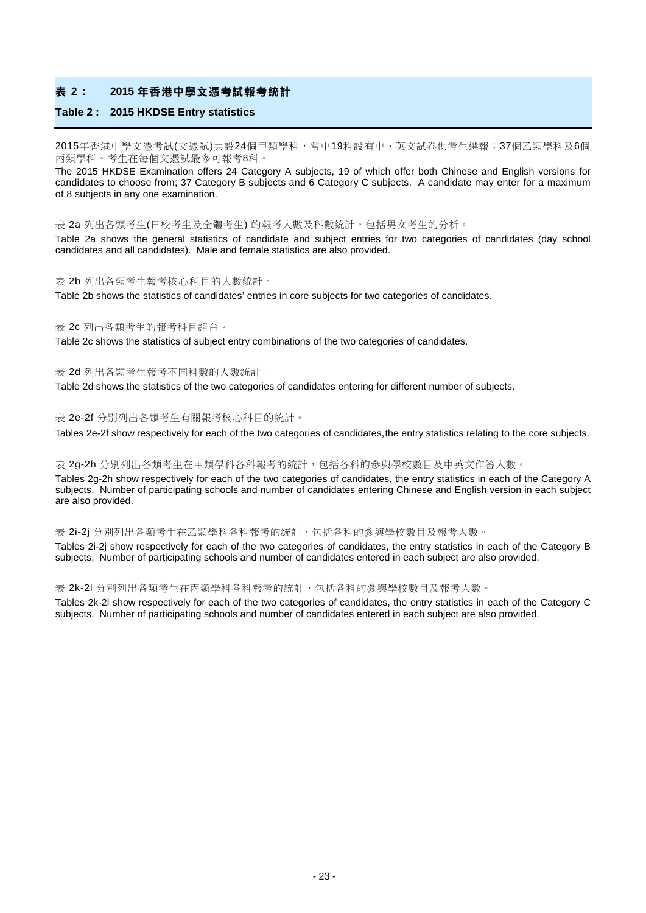#### **表 2 : 2015 年香港中學文憑考試報考統計**

#### **Table 2 : 2015 HKDSE Entry statistics**

2015年香港中學文憑考試(文憑試)共設24個甲類學科,當中19科設有中、英文試卷供考生選報;37個乙類學科及6個 丙類學科。考生在每個文憑試最多可報考8科。

The 2015 HKDSE Examination offers 24 Category A subjects, 19 of which offer both Chinese and English versions for candidates to choose from; 37 Category B subjects and 6 Category C subjects. A candidate may enter for a maximum of 8 subjects in any one examination.

表 2a 列出各類考生(日校考生及全體考生) 的報考人數及科數統計,包括男女考生的分析。

Table 2a shows the general statistics of candidate and subject entries for two categories of candidates (day school candidates and all candidates). Male and female statistics are also provided.

#### 表 2b 列出各類考生報考核心科目的人數統計。

Table 2b shows the statistics of candidates' entries in core subjects for two categories of candidates.

#### 表 2c 列出各類考生的報考科目組合。

Table 2c shows the statistics of subject entry combinations of the two categories of candidates.

#### 表 2d 列出各類考生報考不同科數的人數統計。

Table 2d shows the statistics of the two categories of candidates entering for different number of subjects.

#### 表 2e-2f 分別列出各類考生有關報考核心科目的統計。

Tables 2e-2f show respectively for each of the two categories of candidates, the entry statistics relating to the core subjects.

#### 表 2g-2h 分別列出各類考生在甲類學科各科報考的統計,包括各科的參與學校數目及中英文作答人數。

Tables 2g-2h show respectively for each of the two categories of candidates, the entry statistics in each of the Category A subjects. Number of participating schools and number of candidates entering Chinese and English version in each subject are also provided.

#### 表 2i-2j 分別列出各類考生在乙類學科各科報考的統計,包括各科的參與學校數目及報考人數。

Tables 2i-2j show respectively for each of the two categories of candidates, the entry statistics in each of the Category B subjects. Number of participating schools and number of candidates entered in each subject are also provided.

#### 表 2k-2l 分別列出各類考生在丙類學科各科報考的統計,包括各科的參與學校數目及報考人數。

Tables 2k-2l show respectively for each of the two categories of candidates, the entry statistics in each of the Category C subjects. Number of participating schools and number of candidates entered in each subject are also provided.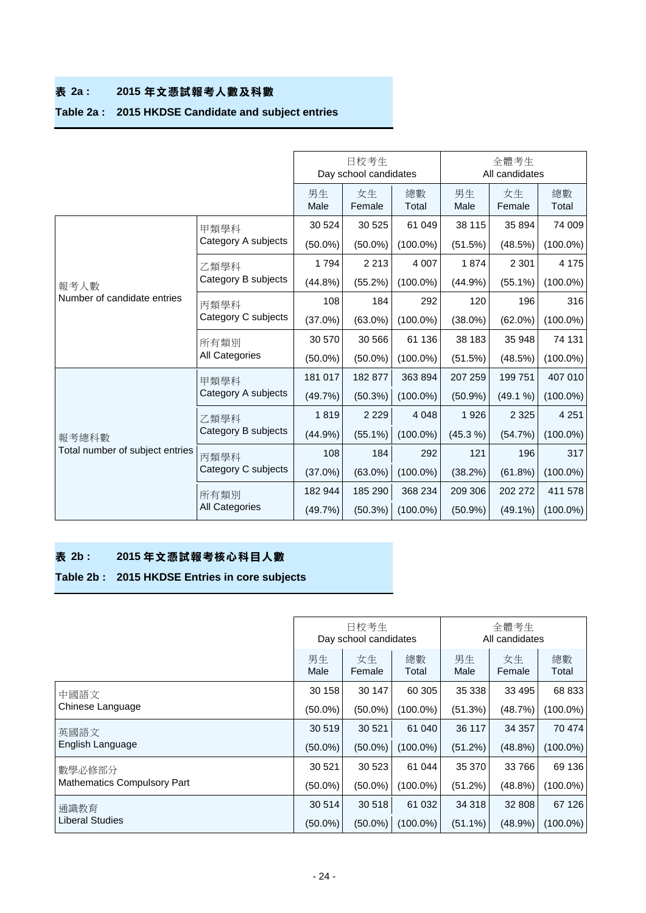## **表 2a : 2015 年文憑試報考人數及科數**

## **Table 2a : 2015 HKDSE Candidate and subject entries**

|                                 |                     |                    | 日校考生<br>Day school candidates                                                                 |             | 全體考生<br>All candidates                                                                                                                                                                                                                    |              |             |  |
|---------------------------------|---------------------|--------------------|-----------------------------------------------------------------------------------------------|-------------|-------------------------------------------------------------------------------------------------------------------------------------------------------------------------------------------------------------------------------------------|--------------|-------------|--|
|                                 |                     | 男生<br>Male         | 女生<br>Female                                                                                  | 總數<br>Total | 男生<br>Male                                                                                                                                                                                                                                | 女生<br>Female | 總數<br>Total |  |
|                                 | 甲類學科                | 30 524             | 30 525                                                                                        | 61 049      | 38 115                                                                                                                                                                                                                                    | 35 894       | 74 009      |  |
|                                 | Category A subjects | $(50.0\%)$         | $(50.0\%)$                                                                                    | $(100.0\%)$ | (51.5%)                                                                                                                                                                                                                                   | (48.5%)      | $(100.0\%)$ |  |
|                                 | 乙類學科                | 1794               | 2 2 1 3                                                                                       | 4 0 0 7     | 1874                                                                                                                                                                                                                                      | 2 3 0 1      | 4 1 7 5     |  |
| 報考人數                            | Category B subjects | $(44.8\%)$         | (55.2%)                                                                                       | $(100.0\%)$ | $(44.9\%)$                                                                                                                                                                                                                                | $(55.1\%)$   | $(100.0\%)$ |  |
| Number of candidate entries     | 丙類學科                | 108                | 184                                                                                           | 292         | 120                                                                                                                                                                                                                                       | 196          | 316         |  |
|                                 | Category C subjects | (37.0%)            | $(100.0\%)$<br>$(63.0\%)$<br>$(38.0\%)$<br>$(62.0\%)$<br>30 566<br>61 136<br>38 183<br>35 948 | $(100.0\%)$ |                                                                                                                                                                                                                                           |              |             |  |
|                                 | 所有類別                | 30 570             |                                                                                               |             | (51.5%)<br>(48.5%)<br>363 894<br>207 259<br>199751<br>$(50.9\%)$<br>(49.1 %)<br>4 0 4 8<br>2 3 2 5<br>1926<br>(45.3 %)<br>(54.7%)<br>292<br>121<br>196<br>(38.2%)<br>(61.8%)<br>368 234<br>209 306<br>202 272<br>$(50.9\%)$<br>$(49.1\%)$ | 74 131       |             |  |
|                                 | All Categories      | $(50.0\%)$         | $(50.0\%)$                                                                                    | $(100.0\%)$ |                                                                                                                                                                                                                                           |              | $(100.0\%)$ |  |
|                                 | 甲類學科                | 181 017            | 182 877                                                                                       |             |                                                                                                                                                                                                                                           |              | 407 010     |  |
|                                 | Category A subjects | (49.7%)            | $(50.3\%)$                                                                                    | $(100.0\%)$ |                                                                                                                                                                                                                                           |              | $(100.0\%)$ |  |
|                                 | 乙類學科                | 1819               | 2 2 2 9                                                                                       |             |                                                                                                                                                                                                                                           |              | 4 2 5 1     |  |
| 報考總科數                           | Category B subjects | (44.9%)            | $(55.1\%)$                                                                                    | $(100.0\%)$ |                                                                                                                                                                                                                                           |              | $(100.0\%)$ |  |
| Total number of subject entries | 丙類學科                | 108                | 184                                                                                           |             |                                                                                                                                                                                                                                           |              | 317         |  |
|                                 | Category C subjects | $(37.0\%)$         | $(63.0\%)$                                                                                    | $(100.0\%)$ |                                                                                                                                                                                                                                           |              | $(100.0\%)$ |  |
|                                 | 所有類別                | 182 944            | 185 290                                                                                       |             |                                                                                                                                                                                                                                           |              | 411 578     |  |
|                                 | All Categories      | (49.7%)<br>(50.3%) | $(100.0\%)$                                                                                   |             |                                                                                                                                                                                                                                           | $(100.0\%)$  |             |  |

## **表 2b : 2015 年文憑試報考核心科目人數**

## **Table 2b : 2015 HKDSE Entries in core subjects**

|                                    |            | 日校考生<br>Day school candidates |             | 全體考生<br>All candidates |              |             |  |  |
|------------------------------------|------------|-------------------------------|-------------|------------------------|--------------|-------------|--|--|
|                                    | 男生<br>Male | 女生<br>Female                  | 總數<br>Total | 男生<br>Male             | 女生<br>Female | 總數<br>Total |  |  |
| 中國語文                               | 30 158     | 30 147                        | 60 30 5     | 35 338                 | 33 4 95      | 68 833      |  |  |
| Chinese Language                   | $(50.0\%)$ | $(50.0\%)$                    | $(100.0\%)$ | (51.3%)                | (48.7%)      | (100.0%)    |  |  |
| 英國語文                               | 30 519     | 30 521                        | 61 040      | 36 117                 | 34 357       | 70 474      |  |  |
| English Language                   | $(50.0\%)$ | $(50.0\%)$                    | $(100.0\%)$ | (51.2%)                | (48.8%)      | $(100.0\%)$ |  |  |
| 數學必修部分                             | 30 521     | 30 523                        | 61 044      | 35 370                 | 33766        | 69 136      |  |  |
| <b>Mathematics Compulsory Part</b> | $(50.0\%)$ | $(50.0\%)$                    | $(100.0\%)$ | (51.2%)                | (48.8%)      | (100.0%)    |  |  |
| 通識教育                               | 30 514     | 30 518                        | 61 032      | 34 318                 | 32 808       | 67 126      |  |  |
| <b>Liberal Studies</b>             | $(50.0\%)$ | $(50.0\%)$                    | $(100.0\%)$ | $(51.1\%)$             | (48.9%)      | $(100.0\%)$ |  |  |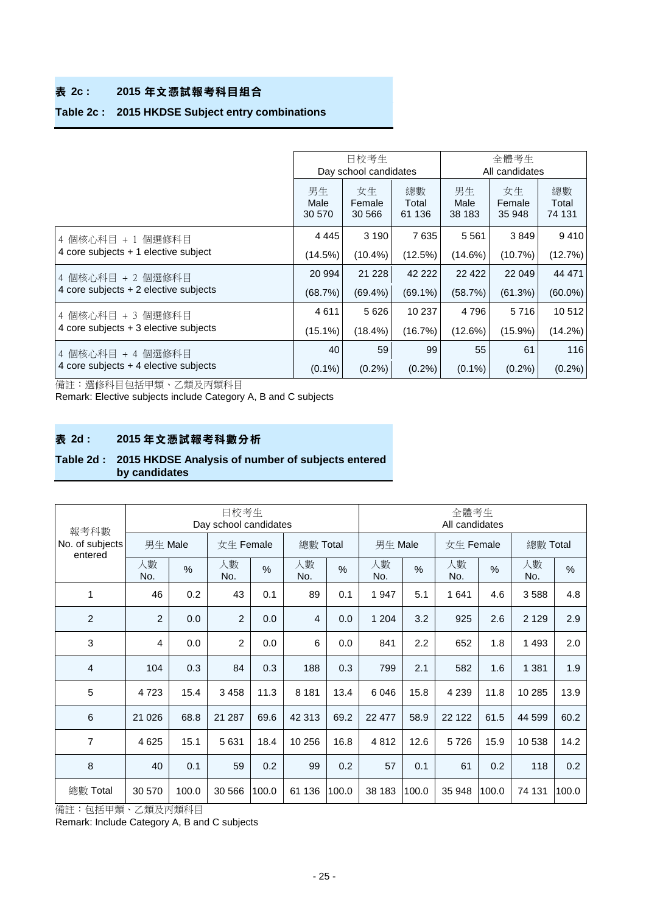## **表 2c : 2015 年文憑試報考科目組合**

### **Table 2c : 2015 HKDSE Subject entry combinations**

|                                         |                      | 日校考生<br>Day school candidates |                       | 全體考生<br>All candidates |                        |                       |  |
|-----------------------------------------|----------------------|-------------------------------|-----------------------|------------------------|------------------------|-----------------------|--|
|                                         | 男生<br>Male<br>30 570 | 女生<br>Female<br>30 566        | 總數<br>Total<br>61 136 | 男生<br>Male<br>38 183   | 女生<br>Female<br>35 948 | 總數<br>Total<br>74 131 |  |
| 4 個核心科目 + 1 個選修科目                       | 4 4 4 5              | 3 1 9 0                       | 7635                  | 5561                   | 3849                   | 9410                  |  |
| 4 core subjects + 1 elective subject    | (14.5%)              | $(10.4\%)$                    | (12.5%)               | $(14.6\%)$             | (10.7%)                | (12.7%)               |  |
| 4 個核心科目 +2 個選修科目                        | 20 994               | 21 2 28                       | 42 222                | 22 4 22                | 22 049                 | 44 471                |  |
| 4 core subjects $+2$ elective subjects  | (68.7%)              | $(69.4\%)$                    | $(69.1\%)$            | (58.7%)                | (61.3%)                | $(60.0\%)$            |  |
| 4 個核心科目 + 3 個選修科目                       | 4611                 | 5626                          | 10 237                | 4 7 9 6                | 5716                   | 10512                 |  |
| 4 core subjects $+3$ elective subjects  | $(15.1\%)$           | $(18.4\%)$                    | (16.7%)               | (12.6%)                | $(15.9\%)$             | $(14.2\%)$            |  |
| 4 個核心科目 + 4 個選修科目                       | 40                   | 59                            | 99                    | 55                     | 61                     | 116                   |  |
| 4 core subjects $+$ 4 elective subjects | $(0.1\%)$            | $(0.2\%)$                     | $(0.2\%)$             | $(0.1\%)$              | $(0.2\%)$              | (0.2%)                |  |

備註:選修科目包括甲類、乙類及丙類科目

Remark: Elective subjects include Category A, B and C subjects

## **表 2d : 2015 年文憑試報考科數分析**

#### **Table 2d : 2015 HKDSE Analysis of number of subjects entered by candidates**

| 報考科數                       |           |               | 日校考生<br>Day school candidates |                       |                | 全體考生<br>All candidates |           |               |           |          |           |               |
|----------------------------|-----------|---------------|-------------------------------|-----------------------|----------------|------------------------|-----------|---------------|-----------|----------|-----------|---------------|
| No. of subjects<br>entered | 男生 Male   |               |                               | 女生 Female<br>總數 Total |                | 男生 Male                |           | 女生 Female     |           | 總數 Total |           |               |
|                            | 人數<br>No. | $\frac{0}{0}$ | 人數<br>No.                     | $\frac{0}{0}$         | 人數<br>No.      | $\frac{0}{0}$          | 人數<br>No. | $\frac{0}{0}$ | 人數<br>No. | %        | 人數<br>No. | $\frac{0}{0}$ |
| 1                          | 46        | 0.2           | 43                            | 0.1                   | 89             | 0.1                    | 1 947     | 5.1           | 1641      | 4.6      | 3588      | 4.8           |
| 2                          | 2         | 0.0           | 2                             | 0.0                   | $\overline{4}$ | 0.0                    | 1 204     | 3.2           | 925       | 2.6      | 2 1 2 9   | 2.9           |
| 3                          | 4         | 0.0           | $\overline{2}$                | 0.0                   | 6              | 0.0                    | 841       | 2.2           | 652       | 1.8      | 1 4 9 3   | 2.0           |
| $\overline{4}$             | 104       | 0.3           | 84                            | 0.3                   | 188            | 0.3                    | 799       | 2.1           | 582       | 1.6      | 1 3 8 1   | 1.9           |
| 5                          | 4723      | 15.4          | 3 4 5 8                       | 11.3                  | 8 1 8 1        | 13.4                   | 6 0 4 6   | 15.8          | 4 2 3 9   | 11.8     | 10 285    | 13.9          |
| 6                          | 21 0 26   | 68.8          | 21 287                        | 69.6                  | 42 313         | 69.2                   | 22 477    | 58.9          | 22 122    | 61.5     | 44 599    | 60.2          |
| $\overline{7}$             | 4 6 25    | 15.1          | 5 6 3 1                       | 18.4                  | 10 256         | 16.8                   | 4812      | 12.6          | 5726      | 15.9     | 10538     | 14.2          |
| 8                          | 40        | 0.1           | 59                            | 0.2                   | 99             | 0.2                    | 57        | 0.1           | 61        | 0.2      | 118       | 0.2           |
| 總數 Total                   | 30 570    | 100.0         | 30 566                        | 100.0                 | 61 136         | 100.0                  | 38 183    | 100.0         | 35 948    | 100.0    | 74 131    | 100.0         |

備註:包括甲類、乙類及丙類科目

Remark: Include Category A, B and C subjects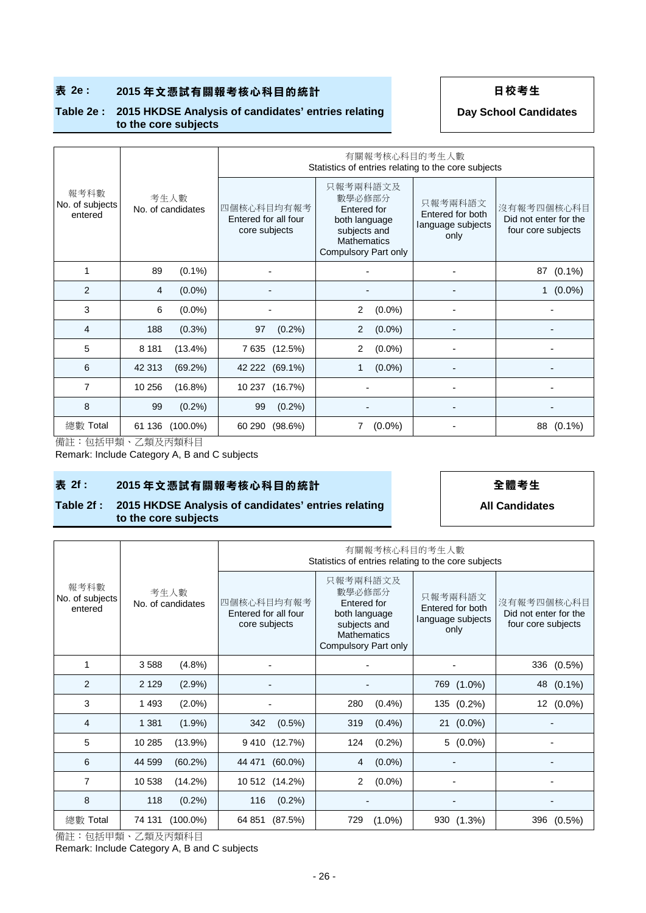## ■ 表 2e : 2015年文憑試有關報考核心科目的統計 → 日本考生

#### **Table 2e : 2015 HKDSE Analysis of candidates' entries relating to the core subjects**

**Day School Candidates**

|                                    |                           |                                                     | 有關報考核心科目的考生人數<br>Statistics of entries relating to the core subjects                                             |                                                          |                                                           |  |  |  |  |  |  |
|------------------------------------|---------------------------|-----------------------------------------------------|------------------------------------------------------------------------------------------------------------------|----------------------------------------------------------|-----------------------------------------------------------|--|--|--|--|--|--|
| 報考科數<br>No. of subjects<br>entered | 考生人數<br>No. of candidates | 四個核心科目均有報考<br>Entered for all four<br>core subjects | 只報考兩科語文及<br>數學必修部分<br>Entered for<br>both language<br>subjects and<br><b>Mathematics</b><br>Compulsory Part only | 只報考兩科語文<br>Entered for both<br>language subjects<br>only | 沒有報考四個核心科目<br>Did not enter for the<br>four core subjects |  |  |  |  |  |  |
| 1                                  | $(0.1\%)$<br>89           |                                                     |                                                                                                                  |                                                          | $(0.1\%)$<br>87                                           |  |  |  |  |  |  |
| 2                                  | $(0.0\%)$<br>4            |                                                     |                                                                                                                  |                                                          | $(0.0\%)$<br>$\mathbf{1}$                                 |  |  |  |  |  |  |
| 3                                  | $(0.0\%)$<br>6            |                                                     | $(0.0\%)$<br>2                                                                                                   | -                                                        |                                                           |  |  |  |  |  |  |
| 4                                  | 188<br>$(0.3\%)$          | 97<br>$(0.2\%)$                                     | $(0.0\%)$<br>$\overline{2}$                                                                                      |                                                          |                                                           |  |  |  |  |  |  |
| 5                                  | $(13.4\%)$<br>8 1 8 1     | 7 635 (12.5%)                                       | $(0.0\%)$<br>2                                                                                                   |                                                          |                                                           |  |  |  |  |  |  |
| 6                                  | 42 313<br>$(69.2\%)$      | 42 222 (69.1%)                                      | $(0.0\%)$<br>1                                                                                                   |                                                          |                                                           |  |  |  |  |  |  |
| 7                                  | 10 256<br>(16.8%)         | 10 237 (16.7%)                                      |                                                                                                                  |                                                          |                                                           |  |  |  |  |  |  |
| 8                                  | (0.2%)<br>99              | 99<br>$(0.2\%)$                                     |                                                                                                                  |                                                          |                                                           |  |  |  |  |  |  |
| 總數 Total                           | 61 136<br>$(100.0\%)$     | $(98.6\%)$<br>60 290                                | 7<br>$(0.0\%)$                                                                                                   |                                                          | 88<br>$(0.1\%)$                                           |  |  |  |  |  |  |

備註:包括甲類、乙類及丙類科目

Remark: Include Category A, B and C subjects

### **表 2f : 2015 年文憑試有關報考核心科目的統計 全體考生**

#### **Table 2f : 2015 HKDSE Analysis of candidates' entries relating to the core subjects**

**All Candidates**

|                                    |                           |                                                     | 有關報考核心科目的考生人數<br>Statistics of entries relating to the core subjects                                                    |                                                          |                                                           |  |  |  |  |  |  |  |
|------------------------------------|---------------------------|-----------------------------------------------------|-------------------------------------------------------------------------------------------------------------------------|----------------------------------------------------------|-----------------------------------------------------------|--|--|--|--|--|--|--|
| 報考科數<br>No. of subjects<br>entered | 考生人數<br>No. of candidates | 四個核心科目均有報考<br>Entered for all four<br>core subjects | 只報考兩科語文及<br>數學必修部分<br>Entered for<br>both language<br>subjects and<br><b>Mathematics</b><br><b>Compulsory Part only</b> | 只報考兩科語文<br>Entered for both<br>language subjects<br>only | 沒有報考四個核心科目<br>Did not enter for the<br>four core subjects |  |  |  |  |  |  |  |
| 1                                  | 3588<br>$(4.8\%)$         |                                                     |                                                                                                                         |                                                          | 336 (0.5%)                                                |  |  |  |  |  |  |  |
| 2                                  | 2 1 2 9<br>$(2.9\%)$      |                                                     |                                                                                                                         | 769 (1.0%)                                               | 48 (0.1%)                                                 |  |  |  |  |  |  |  |
| 3                                  | $(2.0\%)$<br>1 4 9 3      |                                                     | 280<br>$(0.4\%)$                                                                                                        | 135 (0.2%)                                               | 12 <sub>2</sub><br>$(0.0\%)$                              |  |  |  |  |  |  |  |
| 4                                  | $(1.9\%)$<br>1 3 8 1      | 342<br>$(0.5\%)$                                    | 319<br>$(0.4\%)$                                                                                                        | 21 (0.0%)                                                |                                                           |  |  |  |  |  |  |  |
| 5                                  | 10 285<br>(13.9%)         | 9 410 (12.7%)                                       | (0.2%)<br>124                                                                                                           | $5(0.0\%)$                                               |                                                           |  |  |  |  |  |  |  |
| 6                                  | 44 599<br>$(60.2\%)$      | 44 471 (60.0%)                                      | $(0.0\%)$<br>4                                                                                                          |                                                          |                                                           |  |  |  |  |  |  |  |
| $\overline{7}$                     | 10 538<br>(14.2%)         | 10 512 (14.2%)                                      | $(0.0\%)$<br>$\overline{2}$                                                                                             |                                                          |                                                           |  |  |  |  |  |  |  |
| 8                                  | 118<br>$(0.2\%)$          | $(0.2\%)$<br>116                                    |                                                                                                                         |                                                          |                                                           |  |  |  |  |  |  |  |
| 總數 Total                           | 74 131 (100.0%)           | 64 851<br>(87.5%)                                   | 729<br>$(1.0\%)$                                                                                                        | 930 (1.3%)                                               | 396<br>$(0.5\%)$                                          |  |  |  |  |  |  |  |

備註:包括甲類、乙類及丙類科目

Remark: Include Category A, B and C subjects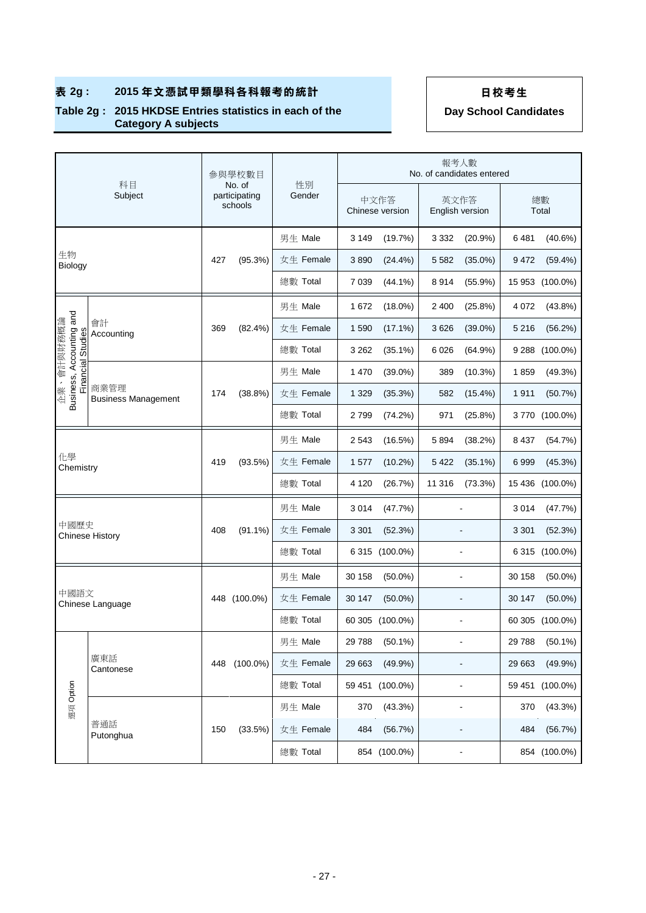### **Table 2g : 2015 HKDSE Entries statistics in each of the Category A subjects**

|                                                                                     |                        |     | 參與學校數目                             |              |         |                         | 報考人數    | No. of candidates entered |             |                 |
|-------------------------------------------------------------------------------------|------------------------|-----|------------------------------------|--------------|---------|-------------------------|---------|---------------------------|-------------|-----------------|
|                                                                                     | 科目<br>Subject          |     | No. of<br>participating<br>schools | 性別<br>Gender |         | 中文作答<br>Chinese version |         | 英文作答<br>English version   | 總數<br>Total |                 |
|                                                                                     |                        |     |                                    | 男生 Male      | 3 1 4 9 | (19.7%)                 | 3 3 3 2 | (20.9%                    | 6481        | $(40.6\%)$      |
| 生物<br>Biology                                                                       |                        | 427 | (95.3%)                            | 女生 Female    | 3890    | $(24.4\%)$              | 5 5 8 2 | $(35.0\%)$                | 9472        | $(59.4\%)$      |
|                                                                                     |                        |     |                                    | 總數 Total     | 7 0 3 9 | $(44.1\%)$              | 8914    | (55.9%)                   | 15 953      | $(100.0\%)$     |
|                                                                                     |                        |     |                                    | 男生 Male      | 1672    | $(18.0\%)$              | 2 4 0 0 | $(25.8\%)$                | 4 0 7 2     | $(43.8\%)$      |
| 企業、會計與財務概論                                                                          | 會計<br>Accounting       | 369 | $(82.4\%)$                         | 女生 Female    | 1590    | $(17.1\%)$              | 3 6 2 6 | $(39.0\%)$                | 5 2 1 6     | (56.2%)         |
|                                                                                     |                        |     |                                    | 總數 Total     | 3 2 6 2 | $(35.1\%)$              | 6 0 2 6 | $(64.9\%)$                | 9 2 8 8     | $(100.0\%)$     |
|                                                                                     |                        |     |                                    | 男生 Male      | 1 4 7 0 | $(39.0\%)$              | 389     | $(10.3\%)$                | 1859        | (49.3%)         |
| Business, Accounting and<br>Financial Studies<br>商業管理<br><b>Business Management</b> |                        | 174 | (38.8%)                            | 女生 Female    | 1 3 2 9 | (35.3%)                 | 582     | $(15.4\%)$                | 1911        | (50.7%)         |
|                                                                                     |                        |     |                                    | 總數 Total     | 2799    | (74.2%)                 | 971     | (25.8%)                   |             | 3770 (100.0%)   |
|                                                                                     |                        |     |                                    | 男生 Male      | 2 5 4 3 | (16.5%)                 | 5894    | (38.2%)                   | 8 4 3 7     | (54.7%)         |
| 化學<br>Chemistry                                                                     |                        | 419 | (93.5%)                            | 女生 Female    | 1577    | $(10.2\%)$              | 5 4 2 2 | $(35.1\%)$                | 6999        | (45.3%)         |
|                                                                                     |                        |     |                                    | 總數 Total     | 4 1 2 0 | (26.7%)                 | 11 316  | (73.3%)                   |             | 15 436 (100.0%) |
|                                                                                     |                        |     |                                    | 男生 Male      | 3014    | (47.7%)                 |         |                           | 3014        | (47.7%)         |
| 中國歷史                                                                                | <b>Chinese History</b> | 408 | $(91.1\%)$                         | 女生 Female    | 3 3 0 1 | (52.3%)                 |         |                           | 3 3 0 1     | (52.3%)         |
|                                                                                     |                        |     |                                    | 總數 Total     |         | 6 315 (100.0%)          |         |                           |             | 6 315 (100.0%)  |
|                                                                                     |                        |     |                                    | 男生 Male      | 30 158  | $(50.0\%)$              |         |                           | 30 158      | $(50.0\%)$      |
| 中國語文                                                                                | Chinese Language       |     | 448 (100.0%)                       | 女生 Female    | 30 147  | $(50.0\%)$              |         |                           | 30 147      | $(50.0\%)$      |
|                                                                                     |                        |     |                                    | 總數 Total     |         | 60 305 (100.0%)         |         | $\blacksquare$            |             | 60 305 (100.0%) |
|                                                                                     |                        |     |                                    | 男生 Male      | 29 788  | $(50.1\%)$              |         |                           | 29 788      | $(50.1\%)$      |
|                                                                                     | 廣東話<br>Cantonese       | 448 | $(100.0\%)$                        | 女生 Female    | 29 663  | $(49.9\%)$              |         |                           | 29 663      | $(49.9\%)$      |
|                                                                                     |                        |     |                                    | 總數 Total     |         | 59 451 (100.0%)         |         | $\blacksquare$            | 59 451      | $(100.0\%)$     |
| 選項 Option                                                                           |                        |     |                                    | 男生 Male      | 370     | (43.3%)                 |         | ÷,                        | 370         | $(43.3\%)$      |
|                                                                                     | 普通話<br>Putonghua       | 150 | (33.5%)                            | 女生 Female    | 484     | (56.7%)                 |         | $\overline{a}$            | 484         | (56.7%)         |
|                                                                                     |                        |     |                                    | 總數 Total     |         | 854 (100.0%)            |         | $\blacksquare$            |             | 854 (100.0%)    |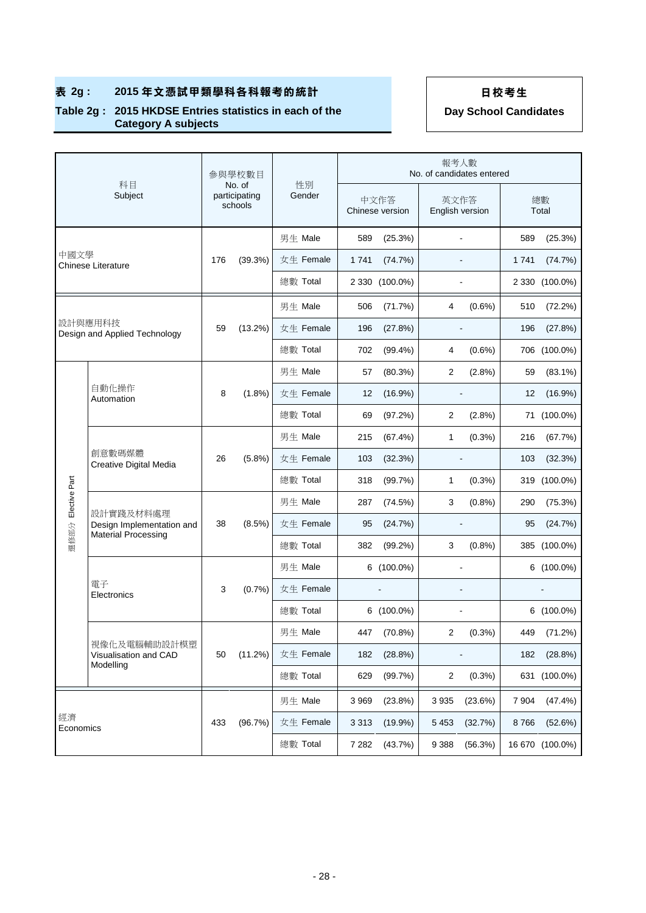### **Table 2g : 2015 HKDSE Entries statistics in each of the Category A subjects**

|                 |                                                                      |     | 參與學校數目                             |              | 報考人數<br>No. of candidates entered |                              |                |                         |         |                 |
|-----------------|----------------------------------------------------------------------|-----|------------------------------------|--------------|-----------------------------------|------------------------------|----------------|-------------------------|---------|-----------------|
|                 | 科目<br>Subject                                                        |     | No. of<br>participating<br>schools | 性別<br>Gender |                                   | 中文作答<br>Chinese version      |                | 英文作答<br>English version |         | 總數<br>Total     |
|                 |                                                                      |     |                                    | 男生 Male      | 589                               | (25.3%)                      |                | ٠                       | 589     | (25.3%)         |
| 中國文學            | <b>Chinese Literature</b>                                            | 176 | (39.3%)                            | 女生 Female    | 1741                              | (74.7%)                      |                |                         | 1741    | (74.7%)         |
|                 |                                                                      |     |                                    | 總數 Total     |                                   | 2 330 (100.0%)               |                |                         |         | 2 330 (100.0%)  |
|                 |                                                                      |     |                                    | 男生 Male      | 506                               | (71.7%)                      | 4              | $(0.6\%)$               | 510     | (72.2%)         |
|                 | 設計與應用科技<br>Design and Applied Technology                             | 59  | (13.2%)                            | 女生 Female    | 196                               | (27.8%)                      |                | $\overline{a}$          | 196     | (27.8%)         |
|                 |                                                                      |     |                                    | 總數 Total     | 702                               | $(99.4\%)$                   | 4              | $(0.6\%)$               |         | 706 (100.0%)    |
|                 |                                                                      |     |                                    | 男生 Male      | 57                                | (80.3%)                      | 2              | (2.8%)                  | 59      | $(83.1\%)$      |
|                 | 自動化操作<br>Automation                                                  | 8   | $(1.8\%)$                          | 女生 Female    | 12                                | (16.9%)                      |                |                         | 12      | $(16.9\%)$      |
|                 |                                                                      |     |                                    | 總數 Total     | 69                                | (97.2%)                      | 2              | $(2.8\%)$               | 71      | $(100.0\%)$     |
|                 | 創意數碼媒體<br>Creative Digital Media                                     |     | $(5.8\%)$                          | 男生 Male      | 215                               | (67.4%)                      | 1              | $(0.3\%)$               | 216     | (67.7%)         |
|                 |                                                                      | 26  |                                    | 女生 Female    | 103                               | (32.3%)                      |                | $\overline{a}$          | 103     | (32.3%)         |
|                 |                                                                      |     |                                    | 總數 Total     | 318                               | (99.7%)                      | 1              | $(0.3\%)$               |         | 319 (100.0%)    |
| Elective Part   |                                                                      |     |                                    | 男生 Male      | 287                               | (74.5%)                      | 3              | (0.8%                   | 290     | (75.3%)         |
|                 | 設計實踐及材料處理<br>Design Implementation and<br><b>Material Processing</b> | 38  | (8.5%)                             | 女生 Female    | 95                                | (24.7%)                      |                | $\overline{a}$          | 95      | (24.7%)         |
| 選修部分            |                                                                      |     |                                    | 總數 Total     | 382                               | (99.2%)                      | 3              | (0.8%                   |         | 385 (100.0%)    |
|                 |                                                                      |     |                                    | 男生 Male      |                                   | 6 (100.0%)                   |                |                         |         | 6 (100.0%)      |
|                 | 電子<br>Electronics                                                    | 3   | (0.7%                              | 女生 Female    |                                   | $\qquad \qquad \blacksquare$ |                | ÷                       |         |                 |
|                 |                                                                      |     |                                    | 總數 Total     |                                   | $6(100.0\%)$                 |                | ÷                       |         | 6 (100.0%)      |
|                 |                                                                      |     |                                    | 男生 Male      | 447                               | (70.8%)                      | 2              | $(0.3\%)$               | 449     | (71.2%)         |
|                 | 視像化及電腦輔助設計模塑<br>Visualisation and CAD<br>Modelling                   | 50  | (11.2%)                            | 女生 Female    | 182                               | $(28.8\%)$                   |                |                         | 182     | (28.8%)         |
|                 |                                                                      |     |                                    | 總數 Total     | 629                               | (99.7%)                      | $\overline{2}$ | $(0.3\%)$               |         | 631 (100.0%)    |
|                 |                                                                      |     |                                    | 男生 Male      | 3 9 6 9                           | $(23.8\%)$                   | 3935           | (23.6%)                 | 7 9 0 4 | (47.4%)         |
| 經濟<br>Economics |                                                                      | 433 | (96.7%)                            | 女生 Female    | 3 3 1 3                           | $(19.9\%)$                   | 5 4 5 3        | (32.7%)                 | 8766    | (52.6%)         |
|                 |                                                                      |     |                                    | 總數 Total     | 7 2 8 2                           | (43.7%)                      | 9 3 8 8        | (56.3%)                 |         | 16 670 (100.0%) |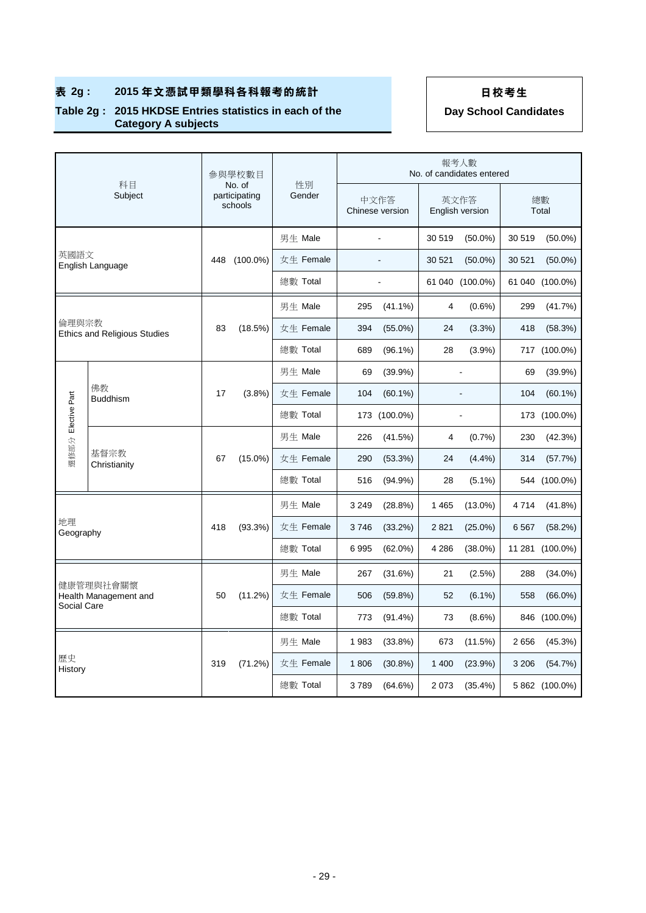### **Table 2g : 2015 HKDSE Entries statistics in each of the Category A subjects**

|                    |                                     |     | 參與學校數目                             |              |                         |              |                         | 報考人數<br>No. of candidates entered |             |                 |
|--------------------|-------------------------------------|-----|------------------------------------|--------------|-------------------------|--------------|-------------------------|-----------------------------------|-------------|-----------------|
|                    | 科目<br>Subject                       |     | No. of<br>participating<br>schools | 性別<br>Gender | 中文作答<br>Chinese version |              | 英文作答<br>English version |                                   | 總數<br>Total |                 |
|                    |                                     |     |                                    | 男生 Male      |                         |              | 30 519                  | $(50.0\%)$                        | 30 519      | $(50.0\%)$      |
| 英國語文               | English Language                    | 448 | $(100.0\%)$                        | 女生 Female    |                         |              | 30 521                  | $(50.0\%)$                        | 30 521      | $(50.0\%)$      |
|                    |                                     |     |                                    | 總數 Total     |                         |              |                         | 61 040 (100.0%)                   |             | 61 040 (100.0%) |
|                    |                                     |     |                                    | 男生 Male      | 295                     | $(41.1\%)$   | 4                       | $(0.6\%)$                         | 299         | (41.7%)         |
| 倫理與宗教              | <b>Ethics and Religious Studies</b> | 83  | (18.5%)                            | 女生 Female    | 394                     | $(55.0\%)$   | 24                      | (3.3%)                            | 418         | (58.3%)         |
|                    |                                     |     |                                    | 總數 Total     | 689                     | $(96.1\%)$   | 28                      | (3.9%)                            |             | 717 (100.0%)    |
|                    |                                     |     |                                    | 男生 Male      | 69                      | $(39.9\%)$   |                         | ÷.                                | 69          | (39.9%)         |
| 選修部分 Elective Part | 佛教<br><b>Buddhism</b>               | 17  | (3.8%)                             | 女生 Female    | 104                     | $(60.1\%)$   |                         | ÷,                                | 104         | $(60.1\%)$      |
|                    |                                     |     |                                    | 總數 Total     |                         | 173 (100.0%) |                         | $\overline{a}$                    |             | 173 (100.0%)    |
|                    | 基督宗教<br>Christianity                | 67  | $(15.0\%)$                         | 男生 Male      | 226                     | (41.5%)      | 4                       | (0.7%                             | 230         | (42.3%)         |
|                    |                                     |     |                                    | 女生 Female    | 290                     | (53.3%)      | 24                      | $(4.4\%)$                         | 314         | (57.7%)         |
|                    |                                     |     |                                    | 總數 Total     | 516                     | $(94.9\%)$   | 28                      | $(5.1\%)$                         |             | 544 (100.0%)    |
|                    |                                     |     |                                    | 男生 Male      | 3 2 4 9                 | (28.8%)      | 1 4 6 5                 | $(13.0\%)$                        | 4714        | $(41.8\%)$      |
| 地理<br>Geography    |                                     | 418 | (93.3%)                            | 女生 Female    | 3746                    | (33.2%)      | 2821                    | $(25.0\%)$                        | 6 5 67      | (58.2%)         |
|                    |                                     |     |                                    | 總數 Total     | 6995                    | $(62.0\%)$   | 4 2 8 6                 | $(38.0\%)$                        |             | 11 281 (100.0%) |
|                    |                                     |     |                                    | 男生 Male      | 267                     | (31.6%)      | 21                      | $(2.5\%)$                         | 288         | $(34.0\%)$      |
|                    | 健康管理與社會關懷<br>Health Management and  | 50  | (11.2%)                            | 女生 Female    | 506                     | (59.8%)      | 52                      | $(6.1\%)$                         | 558         | $(66.0\%)$      |
|                    | Social Care                         |     |                                    | 總數 Total     | 773                     | $(91.4\%)$   | 73                      | $(8.6\%)$                         |             | 846 (100.0%)    |
|                    |                                     |     |                                    | 男生 Male      | 1983                    | $(33.8\%)$   | 673                     | (11.5%)                           | 2656        | (45.3%)         |
| 歷史<br>History      |                                     | 319 | (71.2%)                            | 女生 Female    | 1806                    | $(30.8\%)$   | 1 400                   | (23.9%)                           | 3 2 0 6     | (54.7%)         |
|                    |                                     |     |                                    | 總數 Total     | 3789                    | (64.6%)      | 2073                    | $(35.4\%)$                        |             | 5 862 (100.0%)  |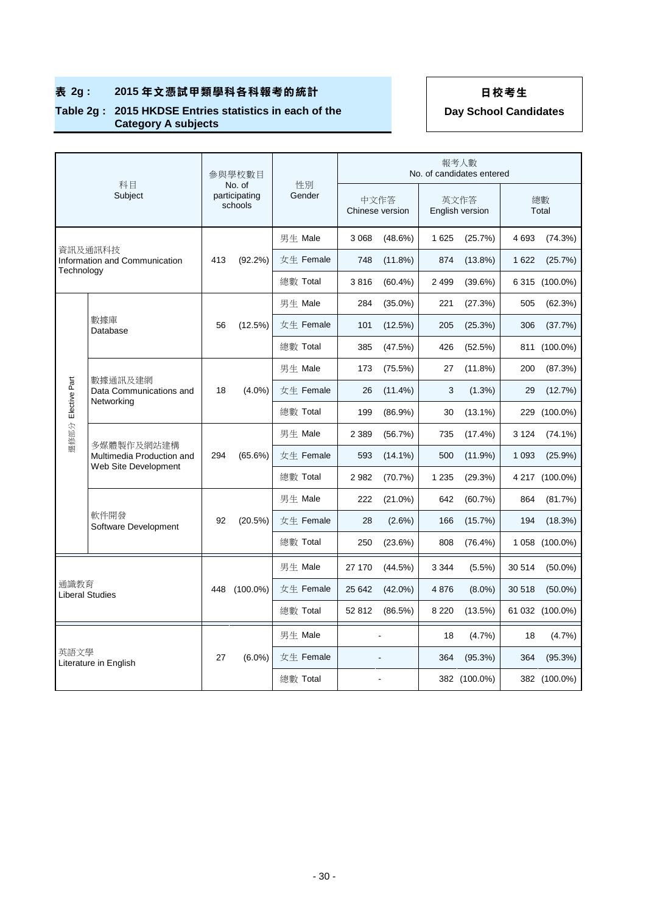### **Table 2g : 2015 HKDSE Entries statistics in each of the Category A subjects**

|               |                                                   |                                    | 參與學校數目      |              |         |                         |         | 報考人數<br>No. of candidates entered |             |                 |
|---------------|---------------------------------------------------|------------------------------------|-------------|--------------|---------|-------------------------|---------|-----------------------------------|-------------|-----------------|
|               | 科目<br>Subject                                     | No. of<br>participating<br>schools |             | 性別<br>Gender |         | 中文作答<br>Chinese version |         | 英文作答<br>English version           | 總數<br>Total |                 |
|               |                                                   |                                    |             | 男生 Male      | 3 0 6 8 | (48.6%)                 | 1 6 2 5 | (25.7%)                           | 4693        | (74.3%)         |
| Technology    | 資訊及通訊科技<br>Information and Communication          | 413                                | $(92.2\%)$  | 女生 Female    | 748     | $(11.8\%)$              | 874     | $(13.8\%)$                        | 1 6 2 2     | (25.7%)         |
|               |                                                   |                                    |             | 總數 Total     | 3816    | $(60.4\%)$              | 2 4 9 9 | (39.6%)                           |             | 6 315 (100.0%)  |
|               |                                                   |                                    |             | 男生 Male      | 284     | $(35.0\%)$              | 221     | (27.3%)                           | 505         | (62.3%)         |
|               | 數據庫<br>Database                                   | 56                                 | (12.5%)     | 女生 Female    | 101     | (12.5%)                 | 205     | (25.3%)                           | 306         | (37.7%)         |
|               |                                                   |                                    |             | 總數 Total     | 385     | (47.5%)                 | 426     | (52.5%)                           |             | 811 (100.0%)    |
|               | 數據通訊及建網                                           |                                    |             | 男生 Male      | 173     | (75.5%)                 | 27      | $(11.8\%)$                        | 200         | (87.3%)         |
| Elective Part | Data Communications and<br>Networking             | 18                                 | $(4.0\%)$   | 女生 Female    | 26      | $(11.4\%)$              | 3       | $(1.3\%)$                         | 29          | (12.7%)         |
|               |                                                   |                                    |             | 總數 Total     | 199     | $(86.9\%)$              | 30      | $(13.1\%)$                        | 229         | $(100.0\%)$     |
| 選修部分          | 多媒體製作及網站建構                                        | 294                                | (65.6%)     | 男生 Male      | 2 3 8 9 | (56.7%)                 | 735     | $(17.4\%)$                        | 3 1 2 4     | $(74.1\%)$      |
|               | Multimedia Production and<br>Web Site Development |                                    |             | 女生 Female    | 593     | $(14.1\%)$              | 500     | (11.9%)                           | 1 0 9 3     | (25.9%)         |
|               |                                                   |                                    |             | 總數 Total     | 2982    | (70.7%)                 | 1 2 3 5 | (29.3%)                           |             | 4 217 (100.0%)  |
|               |                                                   |                                    |             | 男生 Male      | 222     | $(21.0\%)$              | 642     | (60.7%)                           | 864         | (81.7%)         |
|               | 軟件開發<br>Software Development                      | 92                                 | (20.5%)     | 女生 Female    | 28      | $(2.6\%)$               | 166     | (15.7%)                           | 194         | (18.3%)         |
|               |                                                   |                                    |             | 總數 Total     | 250     | (23.6%)                 | 808     | (76.4%)                           |             | 1 058 (100.0%)  |
|               |                                                   |                                    |             | 男生 Male      | 27 170  | (44.5%)                 | 3 3 4 4 | $(5.5\%)$                         | 30 514      | $(50.0\%)$      |
| 通識教育          | <b>Liberal Studies</b>                            | 448                                | $(100.0\%)$ | 女生 Female    | 25 642  | $(42.0\%)$              | 4876    | $(8.0\%)$                         | 30 518      | $(50.0\%)$      |
|               |                                                   |                                    |             | 總數 Total     | 52 812  | (86.5%)                 | 8 2 2 0 | $(13.5\%)$                        |             | 61 032 (100.0%) |
|               |                                                   |                                    |             | 男生 Male      |         |                         | 18      | $(4.7\%)$                         | 18          | (4.7%)          |
| 英語文學          |                                                   | 27                                 | $(6.0\%)$   | 女生 Female    |         |                         | 364     | (95.3%)                           | 364         | (95.3%)         |
|               | Literature in English                             |                                    |             | 總數 Total     |         |                         |         | 382 (100.0%)                      |             | 382 (100.0%)    |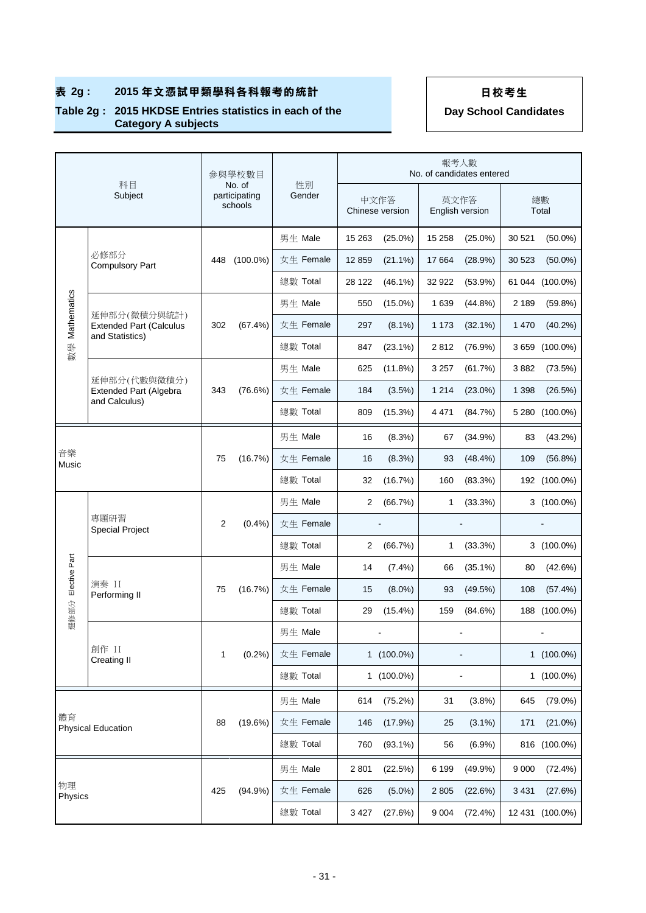### **Table 2g : 2015 HKDSE Entries statistics in each of the Category A subjects**

|                    | 科目                                                                |     | 參與學校數目                             | 性別        |         |                         | 報考人數    | No. of candidates entered |         |                 |
|--------------------|-------------------------------------------------------------------|-----|------------------------------------|-----------|---------|-------------------------|---------|---------------------------|---------|-----------------|
|                    | Subject                                                           |     | No. of<br>participating<br>schools | Gender    |         | 中文作答<br>Chinese version |         | 英文作答<br>English version   |         | 總數<br>Total     |
|                    |                                                                   |     |                                    | 男生 Male   | 15 26 3 | $(25.0\%)$              | 15 2 58 | $(25.0\%)$                | 30 521  | $(50.0\%)$      |
|                    | 必修部分<br><b>Compulsory Part</b>                                    | 448 | $(100.0\%)$                        | 女生 Female | 12859   | $(21.1\%)$              | 17 664  | (28.9%)                   | 30 523  | $(50.0\%)$      |
|                    |                                                                   |     |                                    | 總數 Total  | 28 122  | $(46.1\%)$              | 32 922  | (53.9%)                   | 61 044  | $(100.0\%)$     |
|                    |                                                                   |     |                                    | 男生 Male   | 550     | $(15.0\%)$              | 1 6 3 9 | (44.8%)                   | 2 1 8 9 | (59.8%)         |
| Mathematics        | 延伸部分(微積分與統計)<br><b>Extended Part (Calculus</b><br>and Statistics) | 302 | (67.4%)                            | 女生 Female | 297     | $(8.1\%)$               | 1 1 7 3 | $(32.1\%)$                | 1 4 7 0 | $(40.2\%)$      |
| 數學                 |                                                                   |     |                                    | 總數 Total  | 847     | $(23.1\%)$              | 2812    | $(76.9\%)$                | 3659    | $(100.0\%)$     |
|                    | 延伸部分(代數與微積分)                                                      |     |                                    | 男生 Male   | 625     | (11.8%)                 | 3 2 5 7 | (61.7%)                   | 3882    | (73.5%)         |
|                    | Extended Part (Algebra<br>and Calculus)                           | 343 | (76.6%)                            | 女生 Female | 184     | (3.5%)                  | 1 2 1 4 | $(23.0\%)$                | 1 3 9 8 | (26.5%)         |
|                    |                                                                   |     |                                    | 總數 Total  | 809     | (15.3%)                 | 4 4 7 1 | (84.7%)                   |         | 5 280 (100.0%)  |
|                    |                                                                   |     |                                    | 男生 Male   | 16      | (8.3%)                  | 67      | (34.9%)                   | 83      | (43.2%)         |
| 音樂<br>Music        |                                                                   | 75  | (16.7%)                            | 女生 Female | 16      | (8.3%)                  | 93      | $(48.4\%)$                | 109     | $(56.8\%)$      |
|                    |                                                                   |     |                                    | 總數 Total  | 32      | (16.7%)                 | 160     | (83.3%)                   |         | 192 (100.0%)    |
|                    |                                                                   |     |                                    | 男生 Male   | 2       | (66.7%)                 | 1       | (33.3%)                   |         | 3 (100.0%)      |
|                    | 專題研習<br><b>Special Project</b>                                    | 2   | $(0.4\%)$                          | 女生 Female |         |                         |         |                           |         |                 |
|                    |                                                                   |     |                                    | 總數 Total  | 2       | (66.7%)                 | 1       | (33.3%)                   |         | 3 (100.0%)      |
| 選修部分 Elective Part |                                                                   |     |                                    | 男生 Male   | 14      | $(7.4\%)$               | 66      | $(35.1\%)$                | 80      | (42.6%)         |
|                    | 演奏 II<br>Performing II                                            | 75  | (16.7%)                            | 女生 Female | 15      | $(8.0\%)$               | 93      | (49.5%)                   | 108     | (57.4%)         |
|                    |                                                                   |     |                                    | 總數 Total  | 29      | (15.4%)                 | 159     | (84.6%)                   |         | 188 (100.0%)    |
|                    |                                                                   |     |                                    | 男生 Male   |         |                         |         |                           |         |                 |
|                    | 創作 II<br><b>Creating II</b>                                       | 1   | (0.2%)                             | 女生 Female |         | 1 (100.0%)              |         |                           |         | 1 (100.0%)      |
|                    |                                                                   |     |                                    | 總數 Total  |         | $1(100.0\%)$            |         |                           |         | 1 (100.0%)      |
|                    |                                                                   |     |                                    | 男生 Male   | 614     | (75.2%)                 | 31      | (3.8%)                    | 645     | $(79.0\%)$      |
| 體育                 | <b>Physical Education</b>                                         | 88  | (19.6%)                            | 女生 Female | 146     | (17.9%)                 | 25      | $(3.1\%)$                 | 171     | $(21.0\%)$      |
|                    |                                                                   |     |                                    | 總數 Total  | 760     | $(93.1\%)$              | 56      | $(6.9\%)$                 |         | 816 (100.0%)    |
|                    |                                                                   |     |                                    | 男生 Male   | 2801    | (22.5%)                 | 6 1 9 9 | (49.9%)                   | 9 0 0 0 | (72.4%)         |
| 物理<br>Physics      |                                                                   | 425 | (94.9%)                            | 女生 Female | 626     | $(5.0\%)$               | 2 8 0 5 | (22.6%)                   | 3 4 3 1 | (27.6%)         |
|                    |                                                                   |     |                                    | 總數 Total  | 3 4 2 7 | (27.6%)                 | 9 0 0 4 | (72.4%)                   |         | 12 431 (100.0%) |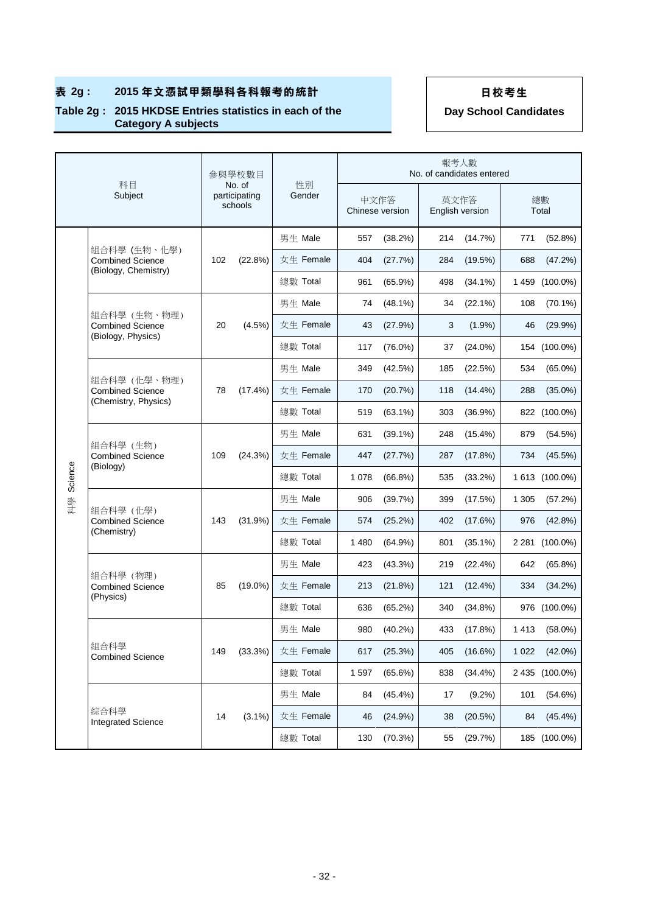### **Table 2g : 2015 HKDSE Entries statistics in each of the Category A subjects**

|         |                                                                 | 参與學校數目<br>No. of |                          |              |      |                         |     | 報考人數<br>No. of candidates entered |             |                |
|---------|-----------------------------------------------------------------|------------------|--------------------------|--------------|------|-------------------------|-----|-----------------------------------|-------------|----------------|
|         | 科目<br>Subject                                                   |                  | participating<br>schools | 性別<br>Gender |      | 中文作答<br>Chinese version |     | 英文作答<br>English version           | 總數<br>Total |                |
|         |                                                                 |                  |                          | 男生 Male      | 557  | (38.2%)                 | 214 | (14.7%)                           | 771         | (52.8%)        |
|         | 組合科學 (生物、化學)<br><b>Combined Science</b>                         | 102              | (22.8%)                  | 女生 Female    | 404  | (27.7%)                 | 284 | (19.5%)                           | 688         | (47.2%)        |
|         | (Biology, Chemistry)                                            |                  |                          | 總數 Total     | 961  | $(65.9\%)$              | 498 | $(34.1\%)$                        | 1459        | $(100.0\%)$    |
|         |                                                                 |                  |                          | 男生 Male      | 74   | $(48.1\%)$              | 34  | $(22.1\%)$                        | 108         | $(70.1\%)$     |
|         | 組合科學 (生物、物理)<br><b>Combined Science</b>                         | 20               | (4.5%)                   | 女生 Female    | 43   | (27.9%)                 | 3   | $(1.9\%)$                         | 46          | (29.9%)        |
|         | (Biology, Physics)                                              |                  |                          | 總數 Total     | 117  | $(76.0\%)$              | 37  | $(24.0\%)$                        |             | 154 (100.0%)   |
|         |                                                                 |                  |                          | 男生 Male      | 349  | (42.5%)                 | 185 | (22.5%)                           | 534         | $(65.0\%)$     |
|         | 組合科學 (化學、物理)<br><b>Combined Science</b><br>(Chemistry, Physics) | 78               | $(17.4\%)$               | 女生 Female    | 170  | (20.7%)                 | 118 | $(14.4\%)$                        | 288         | $(35.0\%)$     |
|         |                                                                 |                  |                          | 總數 Total     | 519  | $(63.1\%)$              | 303 | $(36.9\%)$                        |             | 822 (100.0%)   |
|         | 組合科學 (生物)<br><b>Combined Science</b><br>(Biology)               | 109              | (24.3%)                  | 男生 Male      | 631  | $(39.1\%)$              | 248 | $(15.4\%)$                        | 879         | (54.5%)        |
|         |                                                                 |                  |                          | 女生 Female    | 447  | (27.7%)                 | 287 | (17.8%)                           | 734         | (45.5%)        |
| Science |                                                                 |                  |                          | 總數 Total     | 1078 | $(66.8\%)$              | 535 | $(33.2\%)$                        |             | 1 613 (100.0%) |
| 科學      |                                                                 |                  | (31.9%)                  | 男生 Male      | 906  | (39.7%)                 | 399 | (17.5%)                           | 1 3 0 5     | (57.2%)        |
|         | 組合科學 (化學)<br><b>Combined Science</b><br>(Chemistry)             | 143              |                          | 女生 Female    | 574  | (25.2%)                 | 402 | (17.6%)                           | 976         | (42.8%)        |
|         |                                                                 |                  |                          | 總數 Total     | 1480 | $(64.9\%)$              | 801 | $(35.1\%)$                        | 2 281       | $(100.0\%)$    |
|         |                                                                 |                  |                          | 男生 Male      | 423  | (43.3%)                 | 219 | (22.4%)                           | 642         | (65.8%)        |
|         | 組合科學 (物理)<br><b>Combined Science</b>                            | 85               | $(19.0\%)$               | 女生 Female    | 213  | $(21.8\%)$              | 121 | $(12.4\%)$                        | 334         | $(34.2\%)$     |
|         | (Physics)                                                       |                  |                          | 總數 Total     | 636  | (65.2%)                 | 340 | $(34.8\%)$                        |             | 976 (100.0%)   |
|         |                                                                 |                  |                          | 男生 Male      | 980  | $(40.2\%)$              | 433 | (17.8%)                           | 1413        | $(58.0\%)$     |
|         | 組合科學<br><b>Combined Science</b>                                 | 149              | (33.3%)                  | 女生 Female    | 617  | (25.3%)                 | 405 | $(16.6\%)$                        | 1 0 2 2     | $(42.0\%)$     |
|         |                                                                 |                  |                          | 總數 Total     | 1597 | (65.6%)                 | 838 | $(34.4\%)$                        |             | 2 435 (100.0%) |
|         |                                                                 |                  |                          | 男生 Male      | 84   | $(45.4\%)$              | 17  | $(9.2\%)$                         | 101         | (54.6%)        |
|         | 綜合科學<br><b>Integrated Science</b>                               | 14               | $(3.1\%)$                | 女生 Female    | 46   | (24.9%)                 | 38  | (20.5%)                           | 84          | $(45.4\%)$     |
|         |                                                                 |                  |                          | 總數 Total     | 130  | (70.3%)                 | 55  | (29.7%)                           |             | 185 (100.0%)   |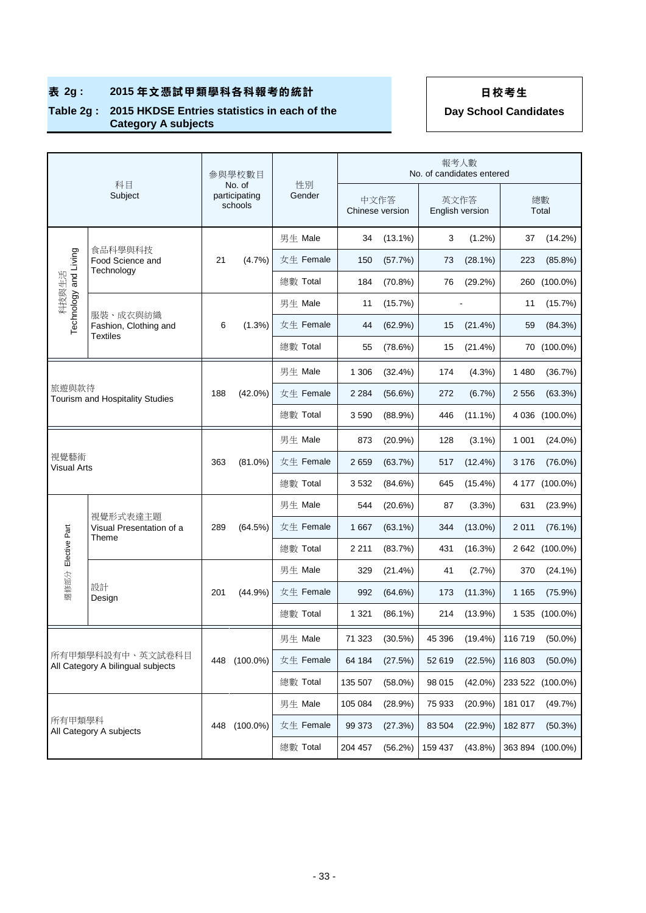### **Table 2g : 2015 HKDSE Entries statistics in each of the Category A subjects**

|                                                 | 科目                                                    |     | 參與學校數目                             |              |         |                         | 報考人數<br>No. of candidates entered |            |         |                  |
|-------------------------------------------------|-------------------------------------------------------|-----|------------------------------------|--------------|---------|-------------------------|-----------------------------------|------------|---------|------------------|
|                                                 | Subject                                               |     | No. of<br>participating<br>schools | 性別<br>Gender |         | 中文作答<br>Chinese version | 英文作答<br>English version           |            |         | 總數<br>Total      |
|                                                 |                                                       |     |                                    | 男生 Male      | 34      | $(13.1\%)$              | 3                                 | $(1.2\%)$  | 37      | $(14.2\%)$       |
| Technology and Living                           | 食品科學與科技<br>Food Science and<br>Technology             | 21  | (4.7%)                             | 女生 Female    | 150     | (57.7%)                 | 73                                | $(28.1\%)$ | 223     | $(85.8\%)$       |
| 科技與生活                                           |                                                       |     |                                    | 總數 Total     | 184     | $(70.8\%)$              | 76                                | (29.2%)    |         | 260 (100.0%)     |
|                                                 |                                                       |     |                                    | 男生 Male      | 11      | (15.7%)                 |                                   |            | 11      | (15.7%)          |
|                                                 | 服裝、成衣與紡織<br>Fashion, Clothing and<br><b>Textiles</b>  | 6   | $(1.3\%)$                          | 女生 Female    | 44      | (62.9%)                 | 15                                | (21.4%)    | 59      | (84.3%)          |
|                                                 |                                                       |     |                                    | 總數 Total     | 55      | (78.6%)                 | 15                                | (21.4%)    |         | 70 (100.0%)      |
|                                                 |                                                       |     |                                    | 男生 Male      | 1 3 0 6 | $(32.4\%)$              | 174                               | (4.3%)     | 1 4 8 0 | (36.7%)          |
| 旅遊與款待<br><b>Tourism and Hospitality Studies</b> |                                                       | 188 | $(42.0\%)$                         | 女生 Female    | 2 2 8 4 | (56.6%)                 | 272                               | $(6.7\%)$  | 2 5 5 6 | (63.3%)          |
|                                                 |                                                       |     |                                    | 總數 Total     | 3590    | $(88.9\%)$              | 446                               | $(11.1\%)$ |         | 4 036 (100.0%)   |
|                                                 |                                                       |     |                                    | 男生 Male      | 873     | (20.9%                  | 128                               | $(3.1\%)$  | 1 0 0 1 | $(24.0\%)$       |
| 視覺藝術<br>Visual Arts                             |                                                       | 363 | $(81.0\%)$                         | 女生 Female    | 2659    | (63.7%)                 | 517                               | $(12.4\%)$ | 3 1 7 6 | $(76.0\%)$       |
|                                                 |                                                       |     |                                    | 總數 Total     | 3532    | (84.6%)                 | 645                               | $(15.4\%)$ |         | 4 177 (100.0%)   |
|                                                 |                                                       |     |                                    | 男生 Male      | 544     | $(20.6\%)$              | 87                                | $(3.3\%)$  | 631     | (23.9%)          |
|                                                 | 視覺形式表達主題<br>Visual Presentation of a                  | 289 | (64.5%)                            | 女生 Female    | 1667    | $(63.1\%)$              | 344                               | $(13.0\%)$ | 2 0 1 1 | $(76.1\%)$       |
| 選修部分 Elective Part                              | Theme                                                 |     |                                    | 總數 Total     | 2 2 1 1 | (83.7%)                 | 431                               | (16.3%)    |         | 2 642 (100.0%)   |
|                                                 |                                                       |     |                                    | 男生 Male      | 329     | $(21.4\%)$              | 41                                | (2.7%)     | 370     | $(24.1\%)$       |
|                                                 | 設計<br>Design                                          | 201 | (44.9%)                            | 女生 Female    | 992     | (64.6%)                 | 173                               | (11.3%)    | 1 1 6 5 | (75.9%)          |
|                                                 |                                                       |     |                                    | 總數 Total     | 1 3 2 1 | $(86.1\%)$              | 214                               | (13.9%)    |         | 1 535 (100.0%)   |
|                                                 |                                                       |     |                                    | 男生 Male      | 71 323  | (30.5%)                 | 45 396                            | $(19.4\%)$ | 116 719 | $(50.0\%)$       |
|                                                 | 所有甲類學科設有中、英文試卷科目<br>All Category A bilingual subjects | 448 | $(100.0\%)$                        | 女生 Female    | 64 184  | (27.5%)                 | 52 619                            | (22.5%)    | 116 803 | $(50.0\%)$       |
|                                                 |                                                       |     |                                    | 總數 Total     | 135 507 | $(58.0\%)$              | 98 015                            | $(42.0\%)$ |         | 233 522 (100.0%) |
|                                                 |                                                       |     |                                    | 男生 Male      | 105 084 | (28.9%)                 | 75 933                            | (20.9%     | 181 017 | (49.7%)          |
|                                                 | 所有甲類學科                                                |     | $(100.0\%)$<br>448                 | 女生 Female    | 99 373  | (27.3%)                 | 83 504                            | (22.9%)    | 182 877 | (50.3%)          |
|                                                 | All Category A subjects                               |     |                                    | 總數 Total     | 204 457 | (56.2%)                 | 159 437                           | $(43.8\%)$ |         | 363 894 (100.0%) |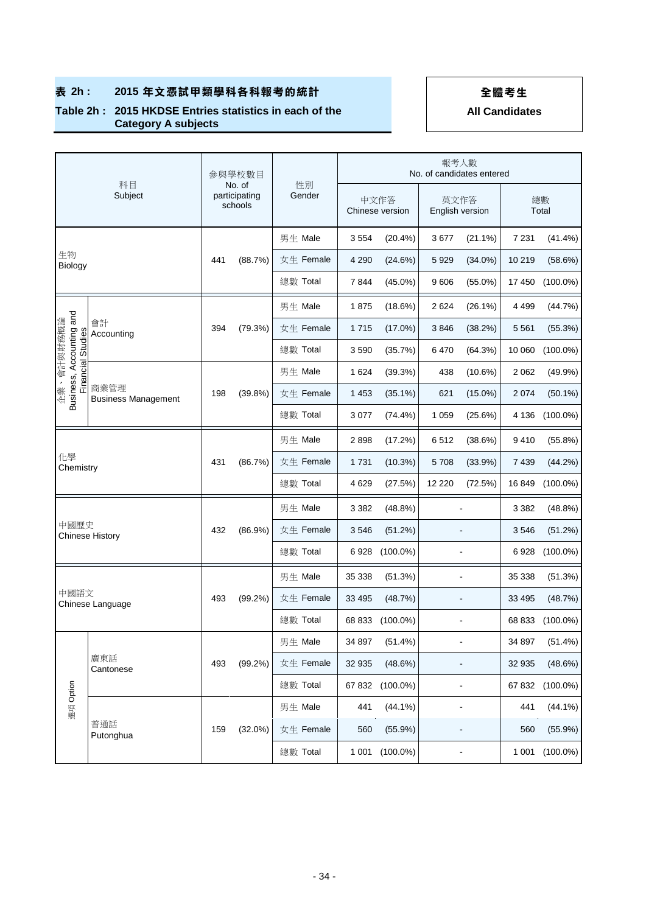### **Table 2h : 2015 HKDSE Entries statistics in each of the Category A subjects**

|                      | 科目<br>Subject                                                                       |     | 參與學校數目                             |              |         |                         | 報考人數                    | No. of candidates entered |         |             |
|----------------------|-------------------------------------------------------------------------------------|-----|------------------------------------|--------------|---------|-------------------------|-------------------------|---------------------------|---------|-------------|
|                      |                                                                                     |     | No. of<br>participating<br>schools | 性別<br>Gender |         | 中文作答<br>Chinese version | 英文作答<br>English version |                           |         | 總數<br>Total |
|                      |                                                                                     |     |                                    | 男生 Male      | 3554    | $(20.4\%)$              | 3677                    | $(21.1\%)$                | 7 2 3 1 | $(41.4\%)$  |
| 生物<br><b>Biology</b> |                                                                                     | 441 | (88.7%)                            | 女生 Female    | 4 2 9 0 | (24.6%)                 | 5929                    | $(34.0\%)$                | 10 219  | (58.6%)     |
|                      |                                                                                     |     |                                    | 總數 Total     | 7844    | $(45.0\%)$              | 9606                    | $(55.0\%)$                | 17 450  | $(100.0\%)$ |
|                      |                                                                                     |     |                                    | 男生 Male      | 1875    | (18.6%)                 | 2 6 2 4                 | $(26.1\%)$                | 4 4 9 9 | (44.7%)     |
| 企業、會計與財務概論           | 會計<br>Accounting                                                                    | 394 | (79.3%)                            | 女生 Female    | 1715    | $(17.0\%)$              | 3846                    | (38.2%)                   | 5 5 6 1 | (55.3%)     |
|                      |                                                                                     |     |                                    | 總數 Total     | 3590    | (35.7%)                 | 6470                    | (64.3%)                   | 10 060  | $(100.0\%)$ |
|                      |                                                                                     |     |                                    | 男生 Male      | 1624    | (39.3%)                 | 438                     | (10.6%)                   | 2 0 6 2 | (49.9%      |
|                      | Business, Accounting and<br>Financial Studies<br>商業管理<br><b>Business Management</b> |     | (39.8%)                            | 女生 Female    | 1 4 5 3 | $(35.1\%)$              | 621                     | $(15.0\%)$                | 2 0 7 4 | $(50.1\%)$  |
|                      |                                                                                     |     |                                    | 總數 Total     | 3 0 7 7 | $(74.4\%)$              | 1 0 5 9                 | (25.6%)                   | 4 136   | $(100.0\%)$ |
|                      |                                                                                     |     |                                    | 男生 Male      | 2898    | (17.2%)                 | 6512                    | (38.6%)                   | 9410    | (55.8%)     |
| 化學<br>Chemistry      |                                                                                     | 431 | (86.7%)                            | 女生 Female    | 1731    | (10.3%)                 | 5708                    | (33.9%)                   | 7439    | (44.2%)     |
|                      |                                                                                     |     |                                    | 總數 Total     | 4629    | (27.5%)                 | 12 2 2 0                | (72.5%)                   | 16849   | $(100.0\%)$ |
|                      |                                                                                     |     |                                    | 男生 Male      | 3 3 8 2 | (48.8%)                 |                         | ÷                         | 3 3 8 2 | (48.8%)     |
| 中國歷史                 | <b>Chinese History</b>                                                              | 432 | (86.9%)                            | 女生 Female    | 3546    | (51.2%)                 |                         |                           | 3546    | (51.2%)     |
|                      |                                                                                     |     |                                    | 總數 Total     | 6928    | $(100.0\%)$             |                         |                           | 6928    | $(100.0\%)$ |
|                      |                                                                                     |     |                                    | 男生 Male      | 35 338  | (51.3%)                 |                         |                           | 35 338  | (51.3%)     |
| 中國語文                 | Chinese Language                                                                    | 493 | $(99.2\%)$                         | 女生 Female    | 33 4 95 | (48.7%)                 |                         | $\overline{\phantom{a}}$  | 33 4 95 | (48.7%)     |
|                      |                                                                                     |     |                                    | 總數 Total     | 68 833  | $(100.0\%)$             |                         |                           | 68 833  | $(100.0\%)$ |
|                      |                                                                                     |     |                                    | 男生 Male      | 34 897  | $(51.4\%)$              |                         |                           | 34 897  | $(51.4\%)$  |
|                      | 廣東話<br>Cantonese                                                                    | 493 | $(99.2\%)$                         | 女生 Female    | 32 935  | (48.6%)                 |                         |                           | 32 935  | (48.6%)     |
|                      |                                                                                     |     |                                    | 總數 Total     | 67832   | $(100.0\%)$             |                         |                           | 67 832  | $(100.0\%)$ |
| 選項 Option            |                                                                                     |     |                                    | 男生 Male      | 441     | $(44.1\%)$              |                         | ÷                         | 441     | $(44.1\%)$  |
|                      | 普通話<br>Putonghua                                                                    | 159 | $(32.0\%)$                         | 女生 Female    | 560     | $(55.9\%)$              |                         |                           | 560     | $(55.9\%)$  |
|                      |                                                                                     |     |                                    | 總數 Total     | 1 0 0 1 | $(100.0\%)$             |                         |                           | 1 0 0 1 | $(100.0\%)$ |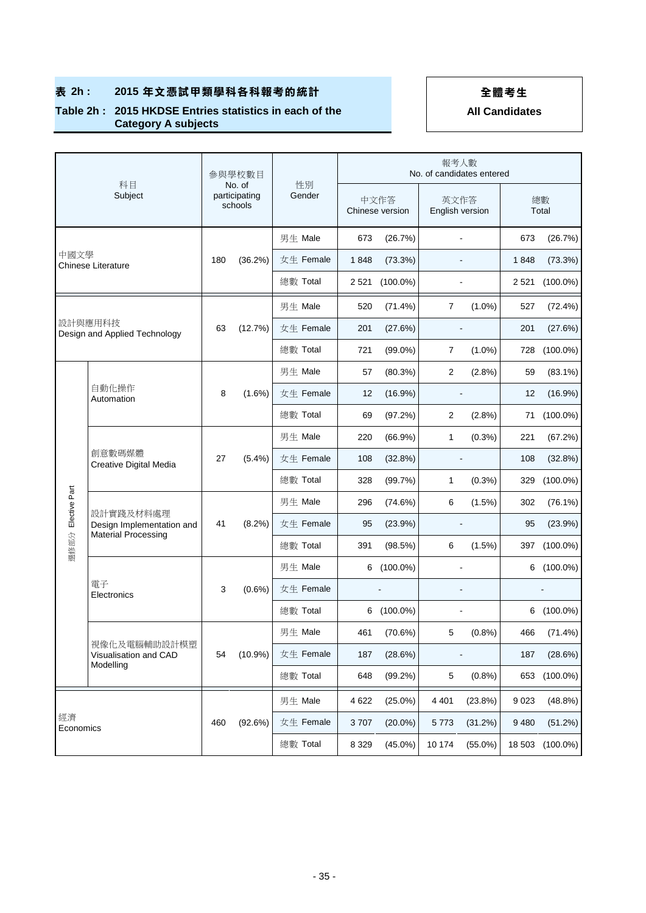### **Table 2h : 2015 HKDSE Entries statistics in each of the Category A subjects**

|                    | 科目                                                                   |     | 參與學校數目                             |              |         |                         | 報考人數                    | No. of candidates entered |         |             |
|--------------------|----------------------------------------------------------------------|-----|------------------------------------|--------------|---------|-------------------------|-------------------------|---------------------------|---------|-------------|
|                    | Subject                                                              |     | No. of<br>participating<br>schools | 性別<br>Gender |         | 中文作答<br>Chinese version | 英文作答<br>English version |                           |         | 總數<br>Total |
|                    |                                                                      |     |                                    | 男生 Male      | 673     | (26.7%)                 |                         | ÷                         | 673     | (26.7%)     |
| 中國文學               | Chinese Literature                                                   | 180 | $(36.2\%)$                         | 女生 Female    | 1848    | (73.3%)                 |                         |                           | 1848    | (73.3%)     |
|                    |                                                                      |     |                                    | 總數 Total     | 2 5 21  | $(100.0\%)$             |                         | ä,                        | 2 5 21  | $(100.0\%)$ |
|                    |                                                                      |     |                                    | 男生 Male      | 520     | (71.4%)                 | 7                       | $(1.0\%)$                 | 527     | (72.4%)     |
|                    | 設計與應用科技<br>Design and Applied Technology                             | 63  | (12.7%)                            | 女生 Female    | 201     | (27.6%)                 |                         |                           | 201     | (27.6%)     |
|                    |                                                                      |     |                                    | 總數 Total     | 721     | $(99.0\%)$              | 7                       | $(1.0\%)$                 | 728     | $(100.0\%)$ |
|                    |                                                                      |     |                                    | 男生 Male      | 57      | (80.3%)                 | 2                       | (2.8%)                    | 59      | $(83.1\%)$  |
|                    | 自動化操作<br>Automation                                                  |     | $(1.6\%)$                          | 女生 Female    | 12      | (16.9%)                 |                         |                           | 12      | (16.9%)     |
|                    |                                                                      |     |                                    | 總數 Total     | 69      | (97.2%)                 | 2                       | (2.8%)                    | 71      | $(100.0\%)$ |
|                    | 創意數碼媒體<br>Creative Digital Media                                     | 27  | $(5.4\%)$                          | 男生 Male      | 220     | (66.9%)                 | 1                       | $(0.3\%)$                 | 221     | (67.2%)     |
|                    |                                                                      |     |                                    | 女生 Female    | 108     | (32.8%)                 |                         | $\overline{a}$            | 108     | (32.8%)     |
|                    |                                                                      |     |                                    | 總數 Total     | 328     | (99.7%)                 | 1                       | $(0.3\%)$                 | 329     | $(100.0\%)$ |
|                    |                                                                      |     |                                    | 男生 Male      | 296     | (74.6%)                 | 6                       | (1.5%)                    | 302     | $(76.1\%)$  |
| 選修部分 Elective Part | 設計實踐及材料處理<br>Design Implementation and<br><b>Material Processing</b> | 41  | (8.2%)                             | 女生 Female    | 95      | (23.9%)                 |                         |                           | 95      | (23.9%)     |
|                    |                                                                      |     |                                    | 總數 Total     | 391     | (98.5%)                 | 6                       | (1.5%)                    | 397     | $(100.0\%)$ |
|                    |                                                                      |     |                                    | 男生 Male      |         | 6 (100.0%)              |                         |                           |         | 6 (100.0%)  |
|                    | 電子<br>Electronics                                                    | 3   | $(0.6\%)$                          | 女生 Female    |         |                         |                         |                           |         |             |
|                    |                                                                      |     |                                    | 總數 Total     | 6       | $(100.0\%)$             |                         |                           | 6       | $(100.0\%)$ |
|                    | 視像化及電腦輔助設計模塑                                                         |     |                                    | 男生 Male      | 461     | (70.6%)                 | 5                       | (0.8%)                    | 466     | (71.4%)     |
|                    | Visualisation and CAD<br>Modelling                                   | 54  | $(10.9\%)$                         | 女生 Female    | 187     | (28.6%)                 |                         |                           | 187     | (28.6%)     |
|                    |                                                                      |     |                                    | 總數 Total     | 648     | $(99.2\%)$              | 5                       | (0.8%)                    | 653     | $(100.0\%)$ |
|                    |                                                                      |     |                                    | 男生 Male      | 4 6 22  | $(25.0\%)$              | 4 4 0 1                 | (23.8%)                   | 9 0 23  | (48.8%)     |
| 經濟                 | Economics                                                            | 460 | (92.6%)                            | 女生 Female    | 3707    | $(20.0\%)$              | 5773                    | (31.2%)                   | 9 4 8 0 | (51.2%)     |
|                    |                                                                      |     |                                    | 總數 Total     | 8 3 2 9 | $(45.0\%)$              | 10 174                  | $(55.0\%)$                | 18 503  | $(100.0\%)$ |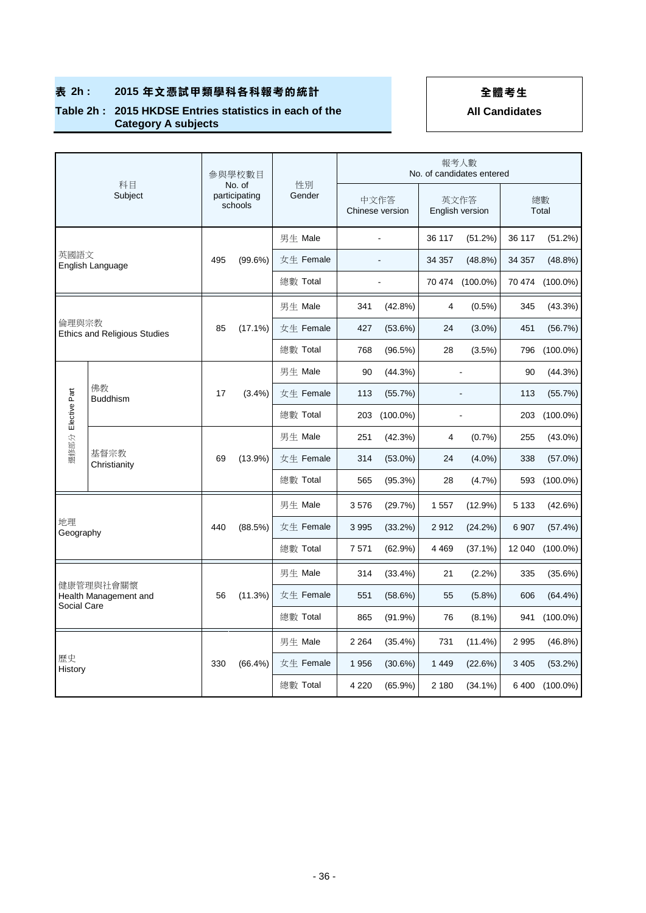### **Table 2h : 2015 HKDSE Entries statistics in each of the Category A subjects**

|                 | 科目                                  |     | 參與學校數目                             |              |         |                         |         | 報考人數<br>No. of candidates entered |             |                 |
|-----------------|-------------------------------------|-----|------------------------------------|--------------|---------|-------------------------|---------|-----------------------------------|-------------|-----------------|
|                 | Subject                             |     | No. of<br>participating<br>schools | 性別<br>Gender |         | 中文作答<br>Chinese version |         | 英文作答<br>English version           | 總數<br>Total |                 |
|                 |                                     |     |                                    | 男生 Male      |         |                         | 36 117  | (51.2%)                           | 36 117      | (51.2%)         |
| 英國語文            | English Language                    | 495 | (99.6%)                            | 女生 Female    |         |                         | 34 357  | $(48.8\%)$                        | 34 357      | $(48.8\%)$      |
|                 |                                     |     |                                    | 總數 Total     |         |                         |         | 70 474 (100.0%)                   |             | 70 474 (100.0%) |
|                 |                                     |     |                                    | 男生 Male      | 341     | $(42.8\%)$              | 4       | $(0.5\%)$                         | 345         | (43.3%)         |
| 倫理與宗教           | <b>Ethics and Religious Studies</b> | 85  | $(17.1\%)$                         | 女生 Female    | 427     | (53.6%)                 | 24      | $(3.0\%)$                         | 451         | (56.7%)         |
|                 |                                     |     |                                    | 總數 Total     | 768     | (96.5%)                 | 28      | $(3.5\%)$                         | 796         | $(100.0\%)$     |
|                 |                                     |     |                                    | 男生 Male      | 90      | (44.3%)                 |         | $\overline{a}$                    | 90          | (44.3%)         |
|                 | 佛教<br><b>Buddhism</b>               |     | $(3.4\%)$                          | 女生 Female    | 113     | (55.7%)                 |         |                                   |             | (55.7%)         |
| Elective Part   |                                     |     |                                    | 總數 Total     | 203     | $(100.0\%)$             |         |                                   | 203         | $(100.0\%)$     |
| 選修部分            |                                     |     |                                    | 男生 Male      | 251     | (42.3%)                 | 4       | (0.7%                             | 255         | $(43.0\%)$      |
|                 | 基督宗教<br>Christianity                | 69  | $(13.9\%)$                         | 女生 Female    | 314     | $(53.0\%)$              | 24      | $(4.0\%)$                         | 338         | $(57.0\%)$      |
|                 |                                     |     |                                    | 總數 Total     | 565     | (95.3%)                 | 28      | (4.7%)                            | 593         | $(100.0\%)$     |
|                 |                                     |     |                                    | 男生 Male      | 3576    | (29.7%)                 | 1 5 5 7 | (12.9%)                           | 5 1 3 3     | (42.6%)         |
| 地理<br>Geography |                                     | 440 | (88.5%)                            | 女生 Female    | 3 9 9 5 | (33.2%)                 | 2912    | (24.2%)                           | 6 9 0 7     | (57.4%)         |
|                 |                                     |     |                                    | 總數 Total     | 7571    | (62.9%)                 | 4 4 6 9 | $(37.1\%)$                        | 12 040      | $(100.0\%)$     |
|                 |                                     |     |                                    | 男生 Male      | 314     | $(33.4\%)$              | 21      | $(2.2\%)$                         | 335         | (35.6%)         |
|                 | 健康管理與社會關懷<br>Health Management and  |     | (11.3%)                            | 女生 Female    | 551     | (58.6%)                 | 55      | $(5.8\%)$                         | 606         | $(64.4\%)$      |
|                 | Social Care                         |     |                                    | 總數 Total     | 865     | $(91.9\%)$              | 76      | $(8.1\%)$                         | 941         | $(100.0\%)$     |
|                 |                                     |     |                                    | 男生 Male      | 2 2 6 4 | $(35.4\%)$              | 731     | (11.4%)                           | 2 9 9 5     | $(46.8\%)$      |
| 歷史<br>History   |                                     | 330 | $(66.4\%)$                         | 女生 Female    | 1956    | (30.6%)                 | 1 4 4 9 | (22.6%)                           | 3 4 0 5     | (53.2%)         |
|                 |                                     |     |                                    | 總數 Total     | 4 2 2 0 | $(65.9\%)$              | 2 180   | $(34.1\%)$                        | 6400        | $(100.0\%)$     |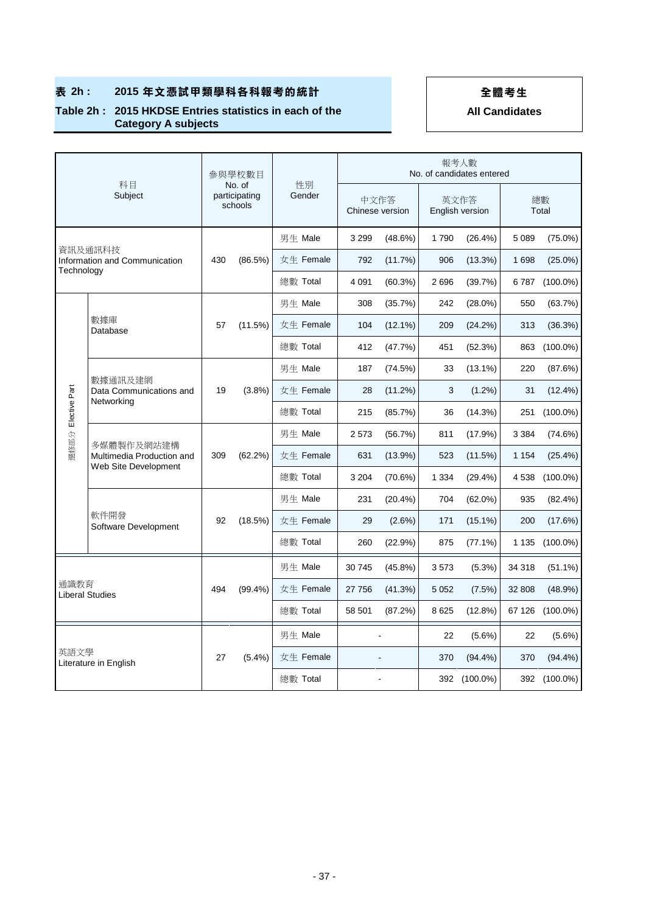### **Table 2h : 2015 HKDSE Entries statistics in each of the Category A subjects**

|                       | 科目                                                |     | 參與學校數目                             |              |         |                         |         | 報考人數<br>No. of candidates entered |         |                 |
|-----------------------|---------------------------------------------------|-----|------------------------------------|--------------|---------|-------------------------|---------|-----------------------------------|---------|-----------------|
|                       | Subject                                           |     | No. of<br>participating<br>schools | 性別<br>Gender |         | 中文作答<br>Chinese version |         | 英文作答<br>English version           |         | 總數<br>Total     |
|                       |                                                   |     |                                    | 男生 Male      | 3 2 9 9 | (48.6%)                 | 1790    | $(26.4\%)$                        | 5 0 8 9 | $(75.0\%)$      |
|                       | 資訊及通訊科技<br>Information and Communication          | 430 | (86.5%)                            | 女生 Female    | 792     | (11.7%)                 | 906     | $(13.3\%)$                        | 1 6 9 8 | $(25.0\%)$      |
| Technology            |                                                   |     |                                    | 總數 Total     | 4 0 9 1 | $(60.3\%)$              | 2696    | (39.7%)                           | 6787    | $(100.0\%)$     |
|                       |                                                   |     |                                    | 男生 Male      | 308     | (35.7%)                 | 242     | $(28.0\%)$                        | 550     | (63.7%)         |
|                       | 數據庫<br>Database                                   | 57  | (11.5%)                            | 女生 Female    | 104     | $(12.1\%)$              | 209     | (24.2%)                           | 313     | (36.3%)         |
|                       |                                                   |     |                                    | 總數 Total     | 412     | (47.7%)                 | 451     | (52.3%)                           | 863     | $(100.0\%)$     |
|                       | 數據通訊及建網                                           |     | (3.8%)                             | 男生 Male      | 187     | (74.5%)                 | 33      | $(13.1\%)$                        | 220     | (87.6%)         |
|                       | Data Communications and<br>Networking             |     |                                    | 女生 Female    | 28      | (11.2%)                 | 3       | $(1.2\%)$                         | 31      | $(12.4\%)$      |
| Elective Part<br>選修部分 |                                                   |     |                                    | 總數 Total     | 215     | (85.7%)                 | 36      | (14.3%)                           | 251     | $(100.0\%)$     |
|                       | 多媒體製作及網站建構                                        | 309 | (62.2%)                            | 男生 Male      | 2573    | (56.7%)                 | 811     | (17.9%)                           | 3 3 8 4 | (74.6%)         |
|                       | Multimedia Production and<br>Web Site Development |     |                                    | 女生 Female    | 631     | $(13.9\%)$              | 523     | (11.5%)                           | 1 1 5 4 | (25.4%)         |
|                       |                                                   |     |                                    | 總數 Total     | 3 2 0 4 | (70.6%)                 | 1 3 3 4 | (29.4%)                           | 4 5 3 8 | $(100.0\%)$     |
|                       |                                                   |     |                                    | 男生 Male      | 231     | $(20.4\%)$              | 704     | $(62.0\%)$                        | 935     | $(82.4\%)$      |
|                       | 軟件開發<br>Software Development                      | 92  | (18.5%)                            | 女生 Female    | 29      | (2.6%)                  | 171     | $(15.1\%)$                        | 200     | (17.6%)         |
|                       |                                                   |     |                                    | 總數 Total     | 260     | (22.9%)                 | 875     | $(77.1\%)$                        | 1 1 3 5 | $(100.0\%)$     |
|                       |                                                   |     |                                    | 男生 Male      | 30 745  | $(45.8\%)$              | 3573    | $(5.3\%)$                         | 34 318  | $(51.1\%)$      |
|                       | 通識教育<br><b>Liberal Studies</b>                    |     | $(99.4\%)$                         | 女生 Female    | 27 756  | (41.3%)                 | 5 0 5 2 | (7.5%)                            | 32 808  | (48.9%)         |
|                       |                                                   |     |                                    | 總數 Total     | 58 501  | (87.2%)                 | 8 6 25  | (12.8%)                           |         | 67 126 (100.0%) |
|                       |                                                   |     |                                    | 男生 Male      |         |                         | 22      | $(5.6\%)$                         | 22      | $(5.6\%)$       |
|                       | 英語文學<br>Literature in English                     | 27  | (5.4%)                             | 女生 Female    |         |                         | 370     | $(94.4\%)$                        | 370     | $(94.4\%)$      |
|                       |                                                   |     |                                    | 總數 Total     |         |                         |         | 392 (100.0%)                      |         | 392 (100.0%)    |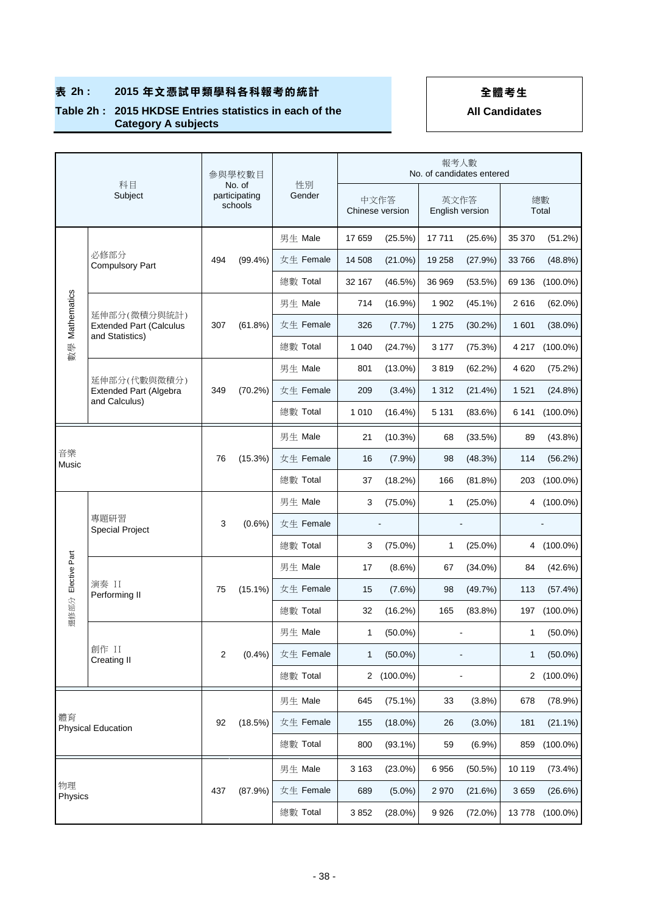### **Table 2h : 2015 HKDSE Entries statistics in each of the Category A subjects**

|                | 科目<br>Subject                                     |     | 參與學校數目                             |              |              |                         | 報考人數    | No. of candidates entered |         |             |
|----------------|---------------------------------------------------|-----|------------------------------------|--------------|--------------|-------------------------|---------|---------------------------|---------|-------------|
|                |                                                   |     | No. of<br>participating<br>schools | 性別<br>Gender |              | 中文作答<br>Chinese version |         | 英文作答<br>English version   |         | 總數<br>Total |
|                |                                                   |     |                                    | 男生 Male      | 17659        | (25.5%)                 | 17711   | (25.6%)                   | 35 370  | (51.2%)     |
|                | 必修部分<br><b>Compulsory Part</b>                    | 494 | $(99.4\%)$                         | 女生 Female    | 14 508       | $(21.0\%)$              | 19 258  | (27.9%)                   | 33 766  | (48.8%)     |
|                |                                                   |     |                                    | 總數 Total     | 32 167       | (46.5%)                 | 36 969  | (53.5%)                   | 69 136  | $(100.0\%)$ |
| 數學 Mathematics | 延伸部分(微積分與統計)                                      |     |                                    | 男生 Male      | 714          | (16.9%)                 | 1 902   | $(45.1\%)$                | 2616    | (62.0%)     |
|                | <b>Extended Part (Calculus</b><br>and Statistics) | 307 | $(61.8\%)$                         | 女生 Female    | 326          | (7.7%)                  | 1 2 7 5 | $(30.2\%)$                | 1 601   | $(38.0\%)$  |
|                |                                                   |     |                                    | 總數 Total     | 1 0 4 0      | (24.7%)                 | 3 1 7 7 | (75.3%)                   | 4 2 1 7 | $(100.0\%)$ |
|                | 延伸部分(代數與微積分)                                      |     |                                    | 男生 Male      | 801          | $(13.0\%)$              | 3819    | (62.2%)                   | 4 6 20  | (75.2%)     |
|                | Extended Part (Algebra<br>and Calculus)           | 349 | (70.2%)                            | 女生 Female    | 209          | $(3.4\%)$               | 1 3 1 2 | $(21.4\%)$                | 1 5 2 1 | (24.8%)     |
|                |                                                   |     |                                    | 總數 Total     | 1 0 1 0      | $(16.4\%)$              | 5 1 3 1 | (83.6%)                   | 6 141   | $(100.0\%)$ |
|                |                                                   |     |                                    | 男生 Male      | 21           | (10.3%)                 | 68      | (33.5%)                   | 89      | (43.8%)     |
| 音樂<br>Music    |                                                   |     | (15.3%)                            | 女生 Female    | 16           | $(7.9\%)$               | 98      | (48.3%)                   | 114     | (56.2%)     |
|                |                                                   |     |                                    | 總數 Total     | 37           | (18.2%)                 | 166     | (81.8%)                   | 203     | $(100.0\%)$ |
|                |                                                   |     |                                    | 男生 Male      | 3            | $(75.0\%)$              | 1       | $(25.0\%)$                | 4       | $(100.0\%)$ |
|                | 專題研習<br><b>Special Project</b>                    | 3   | $(0.6\%)$                          | 女生 Female    |              |                         |         |                           |         |             |
|                |                                                   |     |                                    | 總數 Total     | 3            | $(75.0\%)$              | 1       | $(25.0\%)$                | 4       | $(100.0\%)$ |
| Elective Part  |                                                   |     |                                    | 男生 Male      | 17           | $(8.6\%)$               | 67      | $(34.0\%)$                | 84      | (42.6%)     |
|                | 演奏 II<br>Performing II                            | 75  | $(15.1\%)$                         | 女生 Female    | 15           | (7.6%)                  | 98      | (49.7%)                   | 113     | (57.4%)     |
| 選修部分           |                                                   |     |                                    | 總數 Total     | 32           | (16.2%)                 | 165     | $(83.8\%)$                | 197     | $(100.0\%)$ |
|                |                                                   |     |                                    | 男生 Male      | 1            | $(50.0\%)$              |         |                           | 1       | $(50.0\%)$  |
|                | 創作 II<br><b>Creating II</b>                       | 2   | (0.4% )                            | 女生 Female    | 1            | $(50.0\%)$              |         |                           | 1       | $(50.0\%)$  |
|                |                                                   |     |                                    | 總數 Total     | $\mathbf{2}$ | $(100.0\%)$             |         |                           | 2       | $(100.0\%)$ |
|                |                                                   |     |                                    | 男生 Male      | 645          | $(75.1\%)$              | 33      | (3.8%)                    | 678     | (78.9%)     |
| 體育             | <b>Physical Education</b>                         | 92  | (18.5%)                            | 女生 Female    | 155          | $(18.0\%)$              | 26      | $(3.0\%)$                 | 181     | $(21.1\%)$  |
|                |                                                   |     |                                    | 總數 Total     | 800          | $(93.1\%)$              | 59      | (6.9%)                    | 859     | $(100.0\%)$ |
|                |                                                   |     |                                    | 男生 Male      | 3 1 6 3      | $(23.0\%)$              | 6956    | (50.5%)                   | 10 119  | $(73.4\%)$  |
| 物理             |                                                   | 437 | (87.9%)                            | 女生 Female    | 689          | $(5.0\%)$               | 2970    | (21.6%)                   | 3659    | (26.6%)     |
|                | Physics                                           |     |                                    | 總數 Total     | 3852         | $(28.0\%)$              | 9926    | (72.0%)                   | 13778   | $(100.0\%)$ |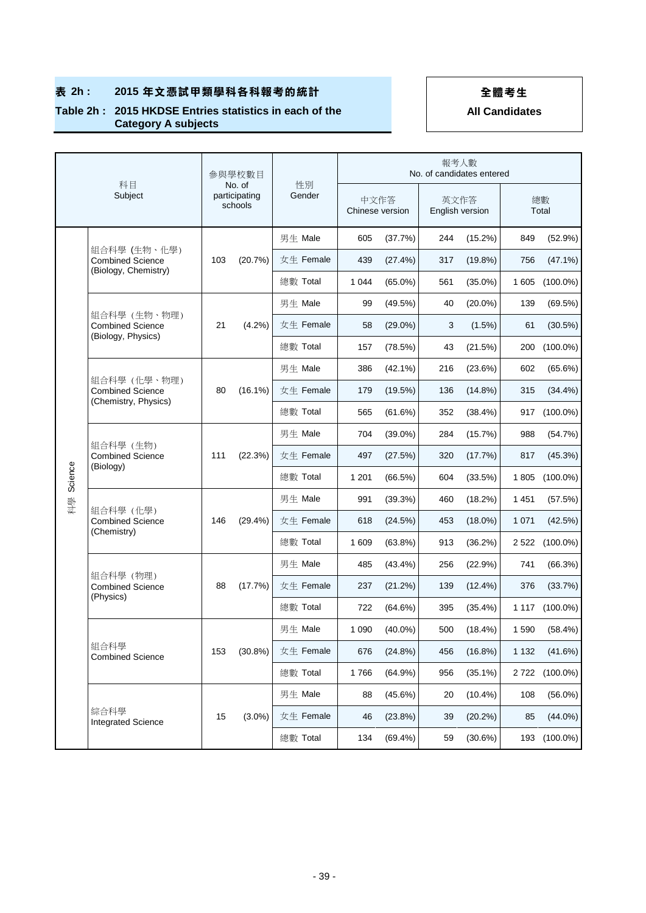### **Table 2h : 2015 HKDSE Entries statistics in each of the Category A subjects**

|         | 科目<br>Subject                                                   |     | 參與學校數目                             |              |                         |            | 報考人數<br>No. of candidates entered |            |         |                |
|---------|-----------------------------------------------------------------|-----|------------------------------------|--------------|-------------------------|------------|-----------------------------------|------------|---------|----------------|
|         |                                                                 |     | No. of<br>participating<br>schools | 性別<br>Gender | 中文作答<br>Chinese version |            | 英文作答<br>English version           |            |         | 總數<br>Total    |
|         |                                                                 |     |                                    | 男生 Male      | 605                     | (37.7%)    | 244                               | (15.2%)    | 849     | (52.9%)        |
|         | 組合科學 (生物、化學)<br><b>Combined Science</b><br>(Biology, Chemistry) | 103 | (20.7%)                            | 女生 Female    | 439                     | (27.4%)    | 317                               | $(19.8\%)$ | 756     | $(47.1\%)$     |
|         |                                                                 |     |                                    | 總數 Total     | 1 0 4 4                 | $(65.0\%)$ | 561                               | $(35.0\%)$ | 1 605   | $(100.0\%)$    |
|         |                                                                 |     |                                    | 男生 Male      | 99                      | (49.5%)    | 40                                | $(20.0\%)$ | 139     | (69.5%)        |
|         | 組合科學 (生物、物理)<br><b>Combined Science</b><br>(Biology, Physics)   | 21  | (4.2%)                             | 女生 Female    | 58                      | $(29.0\%)$ | 3                                 | $(1.5\%)$  | 61      | (30.5%)        |
|         |                                                                 |     |                                    | 總數 Total     | 157                     | (78.5%)    | 43                                | (21.5%)    | 200     | $(100.0\%)$    |
|         |                                                                 |     |                                    | 男生 Male      | 386                     | $(42.1\%)$ | 216                               | (23.6%)    | 602     | (65.6%)        |
|         | 組合科學 (化學、物理)<br><b>Combined Science</b>                         | 80  | $(16.1\%)$                         | 女生 Female    | 179                     | $(19.5\%)$ | 136                               | $(14.8\%)$ | 315     | $(34.4\%)$     |
|         | (Chemistry, Physics)                                            |     |                                    | 總數 Total     | 565                     | (61.6%)    | 352                               | (38.4%)    | 917     | $(100.0\%)$    |
|         | 組合科學 (生物)<br><b>Combined Science</b><br>(Biology)               | 111 |                                    | 男生 Male      | 704                     | $(39.0\%)$ | 284                               | (15.7%)    | 988     | (54.7%)        |
| Science |                                                                 |     | (22.3%)                            | 女生 Female    | 497                     | (27.5%)    | 320                               | (17.7%)    | 817     | (45.3%)        |
|         |                                                                 |     |                                    | 總數 Total     | 1 2 0 1                 | (66.5%)    | 604                               | (33.5%)    | 1805    | $(100.0\%)$    |
| 科學      |                                                                 |     | $(29.4\%)$                         | 男生 Male      | 991                     | (39.3%)    | 460                               | (18.2%)    | 1451    | (57.5%)        |
|         | 組合科學 (化學)<br><b>Combined Science</b>                            | 146 |                                    | 女生 Female    | 618                     | (24.5%)    | 453                               | $(18.0\%)$ | 1 0 7 1 | (42.5%)        |
|         | (Chemistry)                                                     |     |                                    | 總數 Total     | 1 609                   | $(63.8\%)$ | 913                               | (36.2%)    | 2 5 2 2 | $(100.0\%)$    |
|         |                                                                 |     |                                    | 男生 Male      | 485                     | (43.4%)    | 256                               | (22.9%)    | 741     | (66.3%)        |
|         | 組合科學 (物理)<br><b>Combined Science</b>                            | 88  | (17.7%)                            | 女生 Female    | 237                     | (21.2%)    | 139                               | $(12.4\%)$ | 376     | (33.7%)        |
|         | (Physics)                                                       |     |                                    | 總數 Total     | 722                     | (64.6%)    | 395                               | $(35.4\%)$ | 1 1 1 7 | $(100.0\%)$    |
|         |                                                                 |     |                                    | 男生 Male      | 1 0 9 0                 | $(40.0\%)$ | 500                               | (18.4%)    | 1 5 9 0 | (58.4%)        |
|         | 組合科學<br><b>Combined Science</b>                                 | 153 | $(30.8\%)$                         | 女生 Female    | 676                     | (24.8%)    | 456                               | $(16.8\%)$ | 1 1 3 2 | (41.6%)        |
|         |                                                                 |     |                                    | 總數 Total     | 1766                    | $(64.9\%)$ | 956                               | $(35.1\%)$ |         | 2 722 (100.0%) |
|         |                                                                 |     |                                    | 男生 Male      | 88                      | $(45.6\%)$ | 20                                | $(10.4\%)$ | 108     | $(56.0\%)$     |
|         | 綜合科學<br><b>Integrated Science</b>                               | 15  | $(3.0\%)$                          | 女生 Female    | 46                      | (23.8%)    | 39                                | $(20.2\%)$ | 85      | $(44.0\%)$     |
|         |                                                                 |     |                                    | 總數 Total     | 134                     | $(69.4\%)$ | 59                                | (30.6%)    | 193     | $(100.0\%)$    |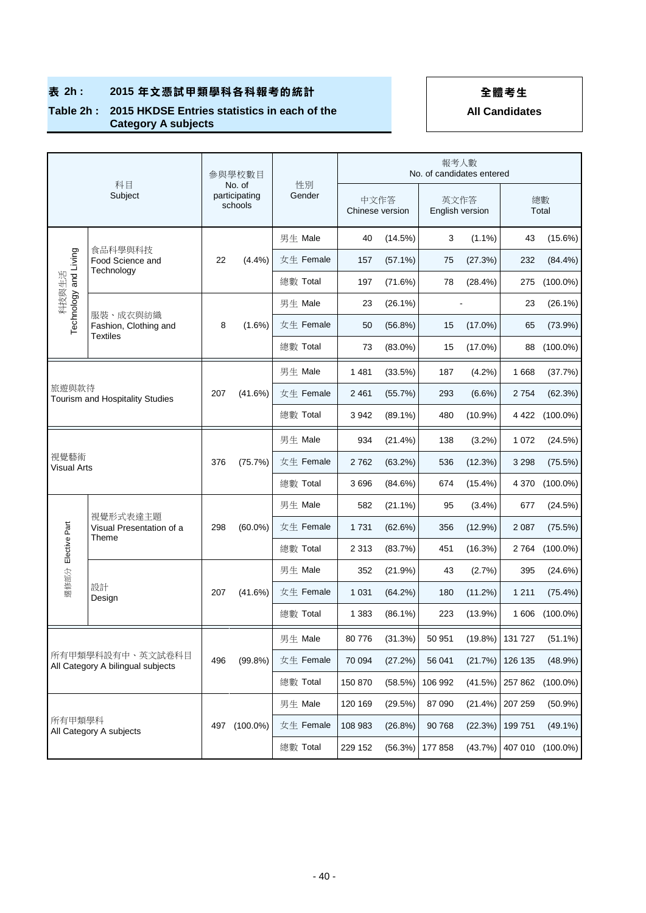### **Table 2h : 2015 HKDSE Entries statistics in each of the Category A subjects**

|                                                       | 科目                                            |     | 參與學校數目                             |              |         |                 | No. of candidates entered | 報考人數       |         |             |
|-------------------------------------------------------|-----------------------------------------------|-----|------------------------------------|--------------|---------|-----------------|---------------------------|------------|---------|-------------|
|                                                       | Subject                                       |     | No. of<br>participating<br>schools | 性別<br>Gender | 中文作答    | Chinese version | 英文作答<br>English version   |            |         | 總數<br>Total |
|                                                       |                                               |     |                                    | 男生 Male      | 40      | (14.5%)         | 3                         | $(1.1\%)$  | 43      | $(15.6\%)$  |
| Technology and Living                                 | 食品科學與科技<br>Food Science and<br>Technology     | 22  | (4.4%)                             | 女生 Female    | 157     | $(57.1\%)$      | 75                        | (27.3%)    | 232     | $(84.4\%)$  |
| 科技與生活                                                 |                                               |     |                                    | 總數 Total     | 197     | (71.6%)         | 78                        | (28.4%)    | 275     | $(100.0\%)$ |
|                                                       | 服裝、成衣與紡織                                      |     |                                    | 男生 Male      | 23      | $(26.1\%)$      |                           |            | 23      | $(26.1\%)$  |
|                                                       | Fashion, Clothing and<br><b>Textiles</b>      | 8   | $(1.6\%)$                          | 女生 Female    | 50      | $(56.8\%)$      | 15                        | $(17.0\%)$ | 65      | (73.9%)     |
|                                                       |                                               |     |                                    | 總數 Total     | 73      | $(83.0\%)$      | 15                        | $(17.0\%)$ | 88      | $(100.0\%)$ |
|                                                       |                                               |     |                                    | 男生 Male      | 1481    | (33.5%)         | 187                       | (4.2%)     | 1668    | (37.7%)     |
| 旅遊與款待<br>Tourism and Hospitality Studies              |                                               | 207 | (41.6%)                            | 女生 Female    | 2 4 6 1 | (55.7%)         | 293                       | $(6.6\%)$  | 2 7 5 4 | (62.3%)     |
|                                                       |                                               |     |                                    | 總數 Total     | 3942    | $(89.1\%)$      | 480                       | $(10.9\%)$ | 4 422   | $(100.0\%)$ |
|                                                       |                                               |     |                                    | 男生 Male      | 934     | (21.4%)         | 138                       | $(3.2\%)$  | 1 0 7 2 | (24.5%)     |
| 視覺藝術<br>Visual Arts                                   |                                               | 376 | (75.7%)                            | 女生 Female    | 2762    | (63.2%)         | 536                       | (12.3%)    | 3 2 9 8 | (75.5%)     |
|                                                       |                                               |     |                                    | 總數 Total     | 3696    | (84.6%)         | 674                       | $(15.4\%)$ | 4 3 7 0 | $(100.0\%)$ |
|                                                       |                                               |     |                                    | 男生 Male      | 582     | $(21.1\%)$      | 95                        | (3.4%)     | 677     | (24.5%)     |
|                                                       | 視覺形式表達主題<br>Visual Presentation of a<br>Theme | 298 | $(60.0\%)$                         | 女生 Female    | 1731    | (62.6%)         | 356                       | $(12.9\%)$ | 2 0 8 7 | (75.5%)     |
| 選修部分 Elective Part                                    |                                               |     |                                    | 總數 Total     | 2 3 1 3 | (83.7%)         | 451                       | (16.3%)    | 2 764   | $(100.0\%)$ |
|                                                       |                                               |     |                                    | 男生 Male      | 352     | (21.9%)         | 43                        | (2.7%)     | 395     | (24.6%)     |
|                                                       | 設計<br>Design                                  | 207 | $(41.6\%)$                         | 女生 Female    | 1 0 3 1 | (64.2%)         | 180                       | (11.2%)    | 1 2 1 1 | (75.4%)     |
|                                                       |                                               |     |                                    | 總數 Total     | 1 3 8 3 | $(86.1\%)$      | 223                       | $(13.9\%)$ | 1 606   | $(100.0\%)$ |
|                                                       |                                               |     |                                    | 男生 Male      | 80776   | (31.3%)         | 50 951                    | (19.8%)    | 131 727 | $(51.1\%)$  |
| 所有甲類學科設有中、英文試卷科目<br>All Category A bilingual subjects |                                               | 496 | (99.8% )                           | 女生 Female    | 70 094  | (27.2%)         | 56 041                    | (21.7%)    | 126 135 | (48.9%)     |
|                                                       |                                               |     |                                    | 總數 Total     | 150 870 | (58.5%)         | 106 992                   | (41.5%)    | 257 862 | $(100.0\%)$ |
|                                                       |                                               |     |                                    | 男生 Male      | 120 169 | (29.5%)         | 87 090                    | (21.4%)    | 207 259 | $(50.9\%)$  |
| 所有甲類學科                                                |                                               | 497 | $(100.0\%)$                        | 女生 Female    | 108 983 | $(26.8\%)$      | 90 768                    | (22.3%)    | 199 751 | $(49.1\%)$  |
|                                                       | All Category A subjects                       |     |                                    | 總數 Total     | 229 152 | (56.3%)         | 177 858                   | (43.7%)    | 407 010 | $(100.0\%)$ |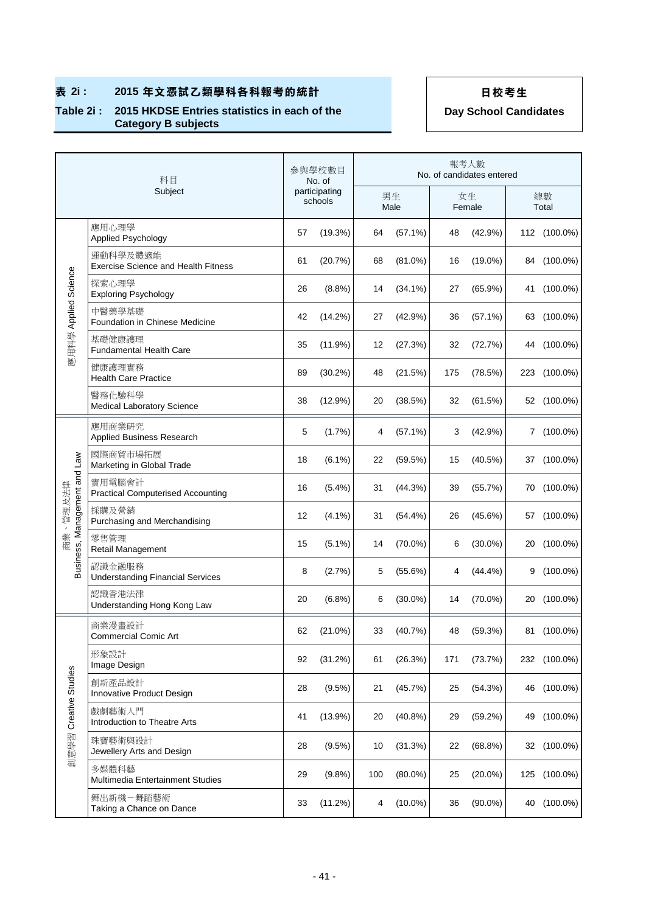### **Table 2i : 2015 HKDSE Entries statistics in each of the Category B subjects**

|                              | 科目                                                     |    | 参與學校數目<br>No. of         |     |            |     | 報考人數<br>No. of candidates entered |              |
|------------------------------|--------------------------------------------------------|----|--------------------------|-----|------------|-----|-----------------------------------|--------------|
|                              | Subject                                                |    | participating<br>schools |     | 男生<br>Male |     | 女生<br>Female                      | 總數<br>Total  |
|                              | 應用心理學<br><b>Applied Psychology</b>                     | 57 | (19.3%)                  | 64  | $(57.1\%)$ | 48  | (42.9%)                           | 112 (100.0%) |
|                              | 運動科學及體適能<br><b>Exercise Science and Health Fitness</b> | 61 | (20.7%)                  | 68  | $(81.0\%)$ | 16  | $(19.0\%)$                        | 84 (100.0%)  |
|                              | 探索心理學<br><b>Exploring Psychology</b>                   | 26 | (8.8%)                   | 14  | $(34.1\%)$ | 27  | $(65.9\%)$                        | 41 (100.0%)  |
|                              | 中醫藥學基礎<br>Foundation in Chinese Medicine               | 42 | $(14.2\%)$               | 27  | (42.9%)    | 36  | $(57.1\%)$                        | 63 (100.0%)  |
| 應用科學 Applied Science         | 基礎健康護理<br><b>Fundamental Health Care</b>               | 35 | (11.9%)                  | 12  | (27.3%)    | 32  | (72.7%)                           | 44 (100.0%)  |
|                              | 健康護理實務<br><b>Health Care Practice</b>                  | 89 | (30.2%)                  | 48  | (21.5%)    | 175 | (78.5%)                           | 223 (100.0%) |
|                              | 醫務化驗科學<br>Medical Laboratory Science                   | 38 | (12.9%)                  | 20  | (38.5%)    | 32  | (61.5%)                           | 52 (100.0%)  |
|                              | 應用商業研究<br>Applied Business Research                    | 5  | (1.7%)                   | 4   | $(57.1\%)$ | 3   | (42.9%)                           | 7 (100.0%)   |
|                              | 國際商貿市場拓展<br>Marketing in Global Trade                  | 18 | $(6.1\%)$                | 22  | (59.5%)    | 15  | $(40.5\%)$                        | 37 (100.0%)  |
| Business, Management and Law | 實用電腦會計<br><b>Practical Computerised Accounting</b>     | 16 | $(5.4\%)$                | 31  | (44.3%)    | 39  | (55.7%)                           | 70 (100.0%)  |
| 商業、管理及法律                     | 採購及營銷<br>Purchasing and Merchandising                  | 12 | $(4.1\%)$                | 31  | $(54.4\%)$ | 26  | (45.6%)                           | 57 (100.0%)  |
|                              | 零售管理<br>Retail Management                              | 15 | $(5.1\%)$                | 14  | $(70.0\%)$ | 6   | $(30.0\%)$                        | 20 (100.0%)  |
|                              | 認識金融服務<br><b>Understanding Financial Services</b>      | 8  | (2.7%)                   | 5   | $(55.6\%)$ | 4   | $(44.4\%)$                        | 9 (100.0%)   |
|                              | 認識香港法律<br>Understanding Hong Kong Law                  | 20 | (6.8%)                   | 6   | $(30.0\%)$ | 14  | $(70.0\%)$                        | 20 (100.0%)  |
|                              | 商業漫畫設計<br><b>Commercial Comic Art</b>                  | 62 | $(21.0\%)$               | 33  | (40.7%)    | 48  | (59.3%)                           | 81 (100.0%)  |
|                              | 形象設計<br>Image Design                                   | 92 | (31.2%)                  | 61  | (26.3%)    | 171 | (73.7%)                           | 232 (100.0%) |
|                              | 創新產品設計<br>Innovative Product Design                    | 28 | $(9.5\%)$                | 21  | (45.7%)    | 25  | (54.3%)                           | 46 (100.0%)  |
| 創意學習 Creative Studies        | 戲劇藝術入門<br>Introduction to Theatre Arts                 | 41 | $(13.9\%)$               | 20  | (40.8%)    | 29  | (59.2%)                           | 49 (100.0%)  |
|                              | 珠寶藝術與設計<br>Jewellery Arts and Design                   | 28 | $(9.5\%)$                | 10  | (31.3%)    | 22  | (68.8%)                           | 32 (100.0%)  |
|                              | 多媒體科藝<br>Multimedia Entertainment Studies              | 29 | $(9.8\%)$                | 100 | $(80.0\%)$ | 25  | $(20.0\%)$                        | 125 (100.0%) |
|                              | 舞出新機-舞蹈藝術<br>Taking a Chance on Dance                  | 33 | (11.2%)                  | 4   | $(10.0\%)$ | 36  | $(90.0\%)$                        | 40 (100.0%)  |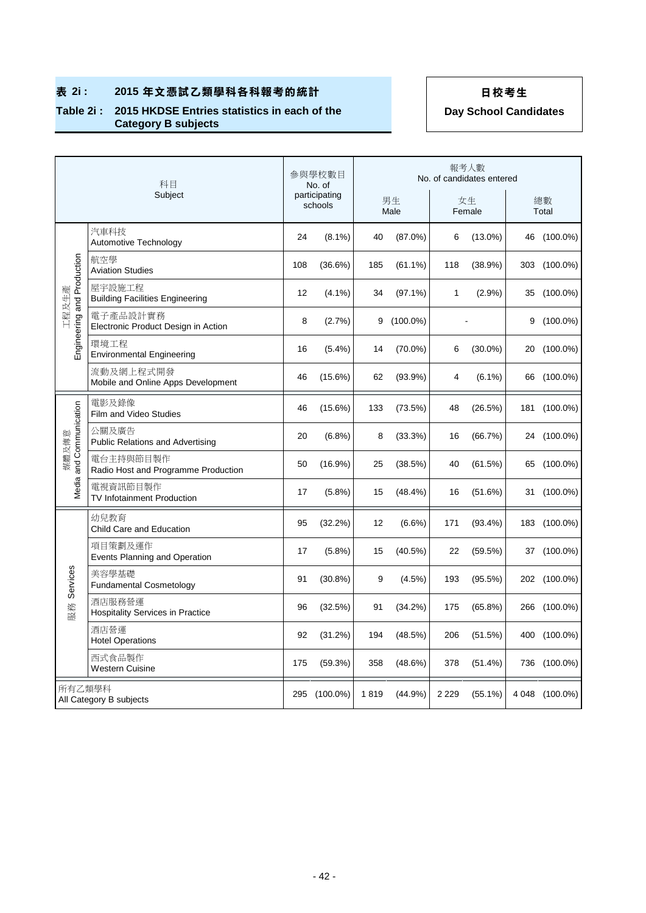### **Table 2i : 2015 HKDSE Entries statistics in each of the Category B subjects**

|                            | 科目                                                |     | 參與學校數目<br>No. of         |      |             |              | 報考人數<br>No. of candidates entered |   |                |
|----------------------------|---------------------------------------------------|-----|--------------------------|------|-------------|--------------|-----------------------------------|---|----------------|
|                            | Subject                                           |     | participating<br>schools |      | 男生<br>Male  |              | 女生<br>Female                      |   | 總數<br>Total    |
|                            | 汽車科技<br>Automotive Technology                     | 24  | $(8.1\%)$                | 40   | $(87.0\%)$  | 6            | $(13.0\%)$                        |   | 46 (100.0%)    |
|                            | 航空學<br><b>Aviation Studies</b>                    | 108 | (36.6%)                  | 185  | $(61.1\%)$  | 118          | (38.9%)                           |   | 303 (100.0%)   |
| 工程及生產                      | 屋宇設施工程<br><b>Building Facilities Engineering</b>  | 12  | $(4.1\%)$                | 34   | $(97.1\%)$  | $\mathbf{1}$ | (2.9%)                            |   | 35 (100.0%)    |
| Engineering and Production | 電子產品設計實務<br>Electronic Product Design in Action   | 8   | (2.7%)                   | 9    | $(100.0\%)$ |              |                                   | 9 | $(100.0\%)$    |
|                            | 環境工程<br><b>Environmental Engineering</b>          | 16  | $(5.4\%)$                | 14   | $(70.0\%)$  | 6            | $(30.0\%)$                        |   | 20 (100.0%)    |
|                            | 流動及網上程式開發<br>Mobile and Online Apps Development   | 46  | $(15.6\%)$               | 62   | $(93.9\%)$  | 4            | $(6.1\%)$                         |   | 66 (100.0%)    |
|                            | 電影及錄像<br>Film and Video Studies                   | 46  | (15.6%)                  | 133  | (73.5%)     | 48           | (26.5%)                           |   | 181 (100.0%)   |
| Media and Communication    | 公關及廣告<br><b>Public Relations and Advertising</b>  | 20  | (6.8%)                   | 8    | (33.3%)     | 16           | (66.7%)                           |   | 24 (100.0%)    |
| 煤體及傳意                      | 電台主持與節目製作<br>Radio Host and Programme Production  | 50  | $(16.9\%)$               | 25   | (38.5%)     | 40           | (61.5%)                           |   | 65 (100.0%)    |
|                            | 電視資訊節目製作<br>TV Infotainment Production            | 17  | $(5.8\%)$                | 15   | $(48.4\%)$  | 16           | (51.6%)                           |   | 31 (100.0%)    |
|                            | 幼兒教育<br>Child Care and Education                  | 95  | (32.2%)                  | 12   | $(6.6\%)$   | 171          | $(93.4\%)$                        |   | 183 (100.0%)   |
|                            | 項目策劃及運作<br>Events Planning and Operation          | 17  | $(5.8\%)$                | 15   | $(40.5\%)$  | 22           | (59.5%)                           |   | 37 (100.0%)    |
| Services                   | 美容學基礎<br><b>Fundamental Cosmetology</b>           | 91  | (30.8%)                  | 9    | $(4.5\%)$   | 193          | (95.5%)                           |   | 202 (100.0%)   |
| 服務                         | 酒店服務營運<br><b>Hospitality Services in Practice</b> | 96  | (32.5%)                  | 91   | (34.2%)     | 175          | (65.8%)                           |   | 266 (100.0%)   |
|                            | 洒店營運<br><b>Hotel Operations</b>                   | 92  | (31.2%)                  | 194  | (48.5%)     | 206          | (51.5%)                           |   | 400 (100.0%)   |
|                            | 西式食品製作<br><b>Western Cuisine</b>                  | 175 | (59.3%)                  | 358  | (48.6%)     | 378          | (51.4%)                           |   | 736 (100.0%)   |
| 所有乙類學科                     | All Category B subjects                           | 295 | $(100.0\%)$              | 1819 | (44.9%)     | 2 2 2 9      | $(55.1\%)$                        |   | 4 048 (100.0%) |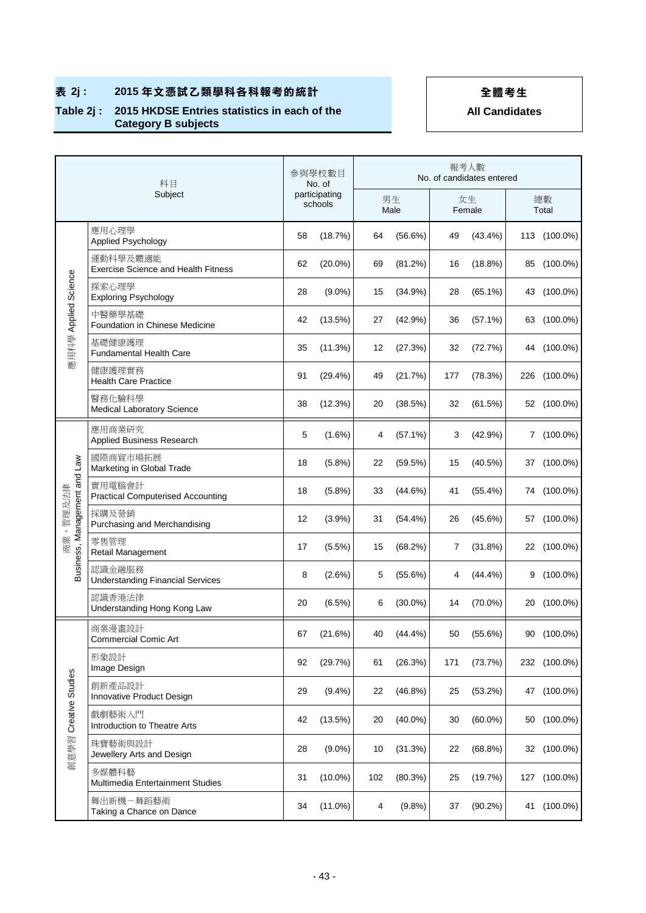## ■ 表 2j: 2015年文憑試乙類學科各科報考的統計 → インストン 全體考生

### **Table 2j : 2015 HKDSE Entries statistics in each of the Category B subjects**

|                              | 科目<br>Subject                                          |    | 參與學校數目<br>No. of         |     |            |     | 報考人數<br>No. of candidates entered |    |              |
|------------------------------|--------------------------------------------------------|----|--------------------------|-----|------------|-----|-----------------------------------|----|--------------|
|                              |                                                        |    | participating<br>schools |     | 男生<br>Male |     | 女生<br>Female                      |    | 總數<br>Total  |
|                              | 應用心理學<br>Applied Psychology                            | 58 | (18.7%)                  | 64  | $(56.6\%)$ | 49  | $(43.4\%)$                        |    | 113 (100.0%) |
|                              | 運動科學及體適能<br><b>Exercise Science and Health Fitness</b> | 62 | $(20.0\%)$               | 69  | (81.2%)    | 16  | $(18.8\%)$                        |    | 85 (100.0%)  |
|                              | 探索心理學<br><b>Exploring Psychology</b>                   | 28 | $(9.0\%)$                | 15  | (34.9%)    | 28  | $(65.1\%)$                        |    | 43 (100.0%)  |
| 應用科學 Applied Science         | 中醫藥學基礎<br>Foundation in Chinese Medicine               | 42 | (13.5%)                  | 27  | (42.9%)    | 36  | $(57.1\%)$                        |    | 63 (100.0%)  |
|                              | 基礎健康護理<br><b>Fundamental Health Care</b>               | 35 | (11.3%)                  | 12  | (27.3%)    | 32  | (72.7%)                           |    | 44 (100.0%)  |
|                              | 健康護理實務<br><b>Health Care Practice</b>                  | 91 | $(29.4\%)$               | 49  | (21.7%)    | 177 | (78.3%)                           |    | 226 (100.0%) |
|                              | 醫務化驗科學<br>Medical Laboratory Science                   | 38 | (12.3%)                  | 20  | (38.5%)    | 32  | (61.5%)                           |    | 52 (100.0%)  |
|                              | 應用商業研究<br>Applied Business Research                    | 5  | $(1.6\%)$                | 4   | $(57.1\%)$ | 3   | (42.9%)                           |    | $7(100.0\%)$ |
|                              | 國際商貿市場拓展<br>Marketing in Global Trade                  | 18 | (5.8%)                   | 22  | (59.5%)    | 15  | (40.5%)                           |    | 37 (100.0%)  |
|                              | 實用電腦會計<br><b>Practical Computerised Accounting</b>     | 18 | (5.8%)                   | 33  | (44.6%)    | 41  | $(55.4\%)$                        |    | 74 (100.0%)  |
| 商業、管理及法律                     | 採購及營銷<br>Purchasing and Merchandising                  | 12 | (3.9%)                   | 31  | $(54.4\%)$ | 26  | (45.6%)                           | 57 | $(100.0\%)$  |
| Business, Management and Law | 零售管理<br>Retail Management                              | 17 | $(5.5\%)$                | 15  | (68.2%)    | 7   | (31.8%)                           |    | 22 (100.0%)  |
|                              | 認識金融服務<br><b>Understanding Financial Services</b>      | 8  | $(2.6\%)$                | 5   | (55.6%)    | 4   | (44.4%)                           | 9  | $(100.0\%)$  |
|                              | 認識香港法律<br>Understanding Hong Kong Law                  | 20 | $(6.5\%)$                | 6   | $(30.0\%)$ | 14  | $(70.0\%)$                        |    | 20 (100.0%)  |
|                              | 商業漫畫設計<br><b>Commercial Comic Art</b>                  | 67 | (21.6%)                  | 40  | (44.4%)    | 50  | (55.6%)                           |    | 90 (100.0%)  |
|                              | 形象設計<br>Image Design                                   | 92 | (29.7%)                  | 61  | (26.3%)    | 171 | (73.7%)                           |    | 232 (100.0%) |
|                              | 創新產品設計<br>Innovative Product Design                    | 29 | $(9.4\%)$                | 22  | $(46.8\%)$ | 25  | (53.2%)                           |    | 47 (100.0%)  |
| 創意學習 Creative Studies        | 戲劇藝術入門<br>Introduction to Theatre Arts                 | 42 | (13.5%)                  | 20  | $(40.0\%)$ | 30  | $(60.0\%)$                        |    | 50 (100.0%)  |
|                              | 珠寶藝術與設計<br>Jewellery Arts and Design                   | 28 | $(9.0\%)$                | 10  | (31.3%)    | 22  | $(68.8\%)$                        |    | 32 (100.0%)  |
|                              | 多媒體科藝<br>Multimedia Entertainment Studies              | 31 | $(10.0\%)$               | 102 | (80.3%)    | 25  | (19.7%)                           |    | 127 (100.0%) |
|                              | 舞出新機-舞蹈藝術<br>Taking a Chance on Dance                  | 34 | $(11.0\%)$               | 4   | (9.8%)     | 37  | $(90.2\%)$                        |    | 41 (100.0%)  |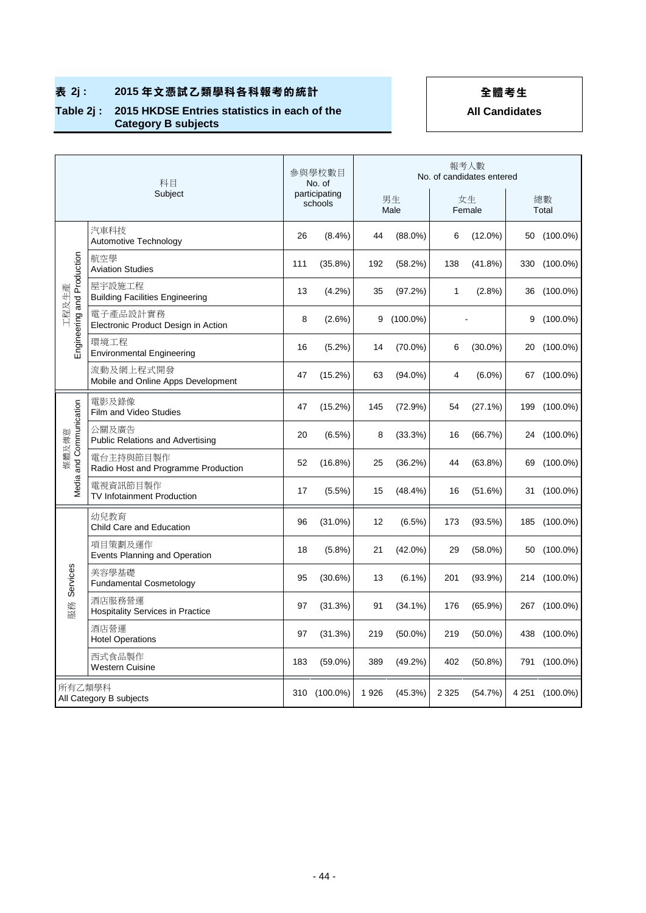## ■ 表 2j: 2015年文憑試乙類學科各科報考的統計 → インストン 全體考生

### **Table 2j : 2015 HKDSE Entries statistics in each of the Category B subjects**

|                                     | 科目                                                |     | 參與學校數目<br>No. of         |      |             |         | 報考人數<br>No. of candidates entered |   |                |
|-------------------------------------|---------------------------------------------------|-----|--------------------------|------|-------------|---------|-----------------------------------|---|----------------|
|                                     | Subject                                           |     | participating<br>schools |      | 男生<br>Male  |         | 女生<br>Female                      |   | 總數<br>Total    |
|                                     | 汽車科技<br>Automotive Technology                     | 26  | (8.4%)                   | 44   | $(88.0\%)$  | 6       | $(12.0\%)$                        |   | 50 (100.0%)    |
|                                     | 航空學<br><b>Aviation Studies</b>                    | 111 | (35.8%)                  | 192  | (58.2%)     | 138     | (41.8%)                           |   | 330 (100.0%)   |
|                                     | 屋宇設施工程<br><b>Building Facilities Engineering</b>  | 13  | $(4.2\%)$                | 35   | (97.2%)     | 1       | $(2.8\%)$                         |   | 36 (100.0%)    |
| Engineering and Production<br>工程及生產 | 電子產品設計實務<br>Electronic Product Design in Action   | 8   | $(2.6\%)$                | 9    | $(100.0\%)$ |         |                                   | 9 | $(100.0\%)$    |
|                                     | 環境工程<br><b>Environmental Engineering</b>          | 16  | $(5.2\%)$                | 14   | $(70.0\%)$  | 6       | $(30.0\%)$                        |   | 20 (100.0%)    |
|                                     | 流動及網上程式開發<br>Mobile and Online Apps Development   | 47  | (15.2%)                  | 63   | $(94.0\%)$  | 4       | $(6.0\%)$                         |   | 67 (100.0%)    |
|                                     | 電影及錄像<br>Film and Video Studies                   | 47  | (15.2%)                  | 145  | (72.9%)     | 54      | (27.1%)                           |   | 199 (100.0%)   |
| Media and Communication             | 公關及廣告<br><b>Public Relations and Advertising</b>  | 20  | $(6.5\%)$                | 8    | (33.3%)     | 16      | (66.7%)                           |   | 24 (100.0%)    |
| 媒體及傳意                               | 電台主持與節目製作<br>Radio Host and Programme Production  | 52  | $(16.8\%)$               | 25   | (36.2%)     | 44      | $(63.8\%)$                        |   | 69 (100.0%)    |
|                                     | 電視資訊節目製作<br>TV Infotainment Production            | 17  | $(5.5\%)$                | 15   | (48.4%)     | 16      | (51.6%)                           |   | 31 (100.0%)    |
|                                     | 幼兒教育<br>Child Care and Education                  | 96  | $(31.0\%)$               | 12   | (6.5%)      | 173     | (93.5%)                           |   | 185 (100.0%)   |
|                                     | 項目策劃及運作<br>Events Planning and Operation          | 18  | $(5.8\%)$                | 21   | $(42.0\%)$  | 29      | $(58.0\%)$                        |   | 50 (100.0%)    |
| Services                            | 美容學基礎<br><b>Fundamental Cosmetology</b>           | 95  | (30.6%)                  | 13   | $(6.1\%)$   | 201     | $(93.9\%)$                        |   | 214 (100.0%)   |
| 服務                                  | 酒店服務營運<br><b>Hospitality Services in Practice</b> | 97  | (31.3%)                  | 91   | $(34.1\%)$  | 176     | $(65.9\%)$                        |   | 267 (100.0%)   |
|                                     | 酒店營運<br><b>Hotel Operations</b>                   | 97  | (31.3%)                  | 219  | $(50.0\%)$  | 219     | $(50.0\%)$                        |   | 438 (100.0%)   |
|                                     | 西式食品製作<br><b>Western Cuisine</b>                  | 183 | $(59.0\%)$               | 389  | $(49.2\%)$  | 402     | $(50.8\%)$                        |   | 791 (100.0%)   |
| 所有乙類學科                              | All Category B subjects                           |     | 310 (100.0%)             | 1926 | (45.3%)     | 2 3 2 5 | (54.7%)                           |   | 4 251 (100.0%) |